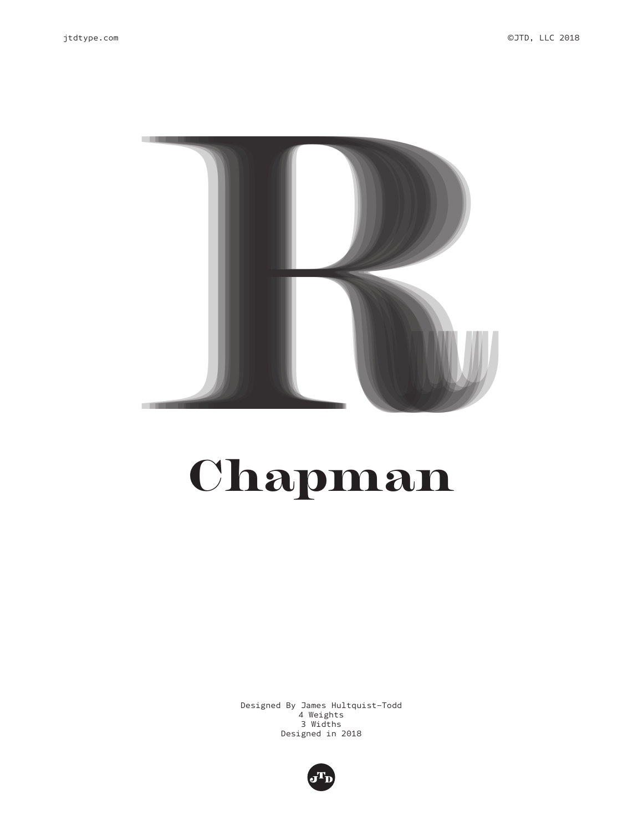

# Chapman

Designed By James Hultquist-Todd 4 Weights 3 Widths Designed in 2018

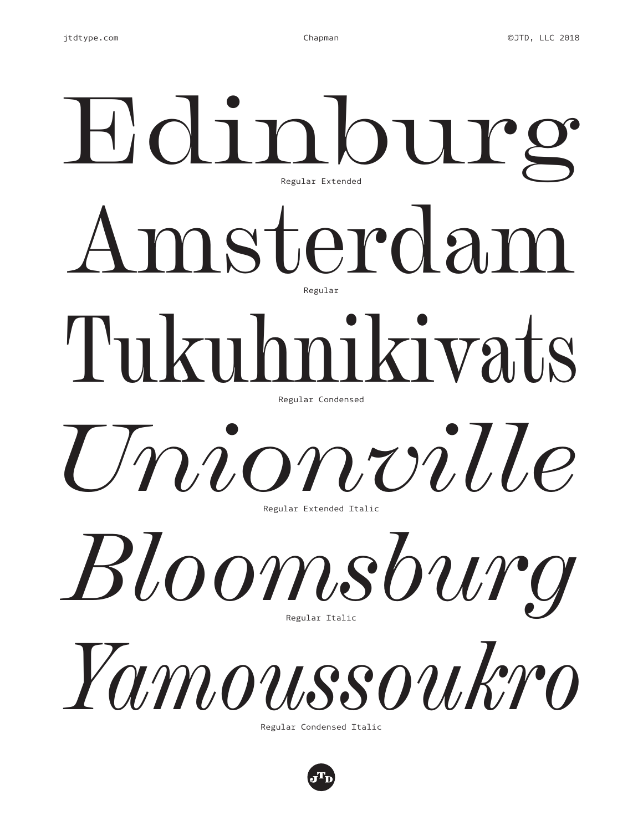# Amsterdam Edinburg Tukuhnikivats *Bloomsburg Unionville Yamoussoukro* Regular Extended Regular Regular Condensed Regular Extended Italic Regular Italic Regular Condensed Italic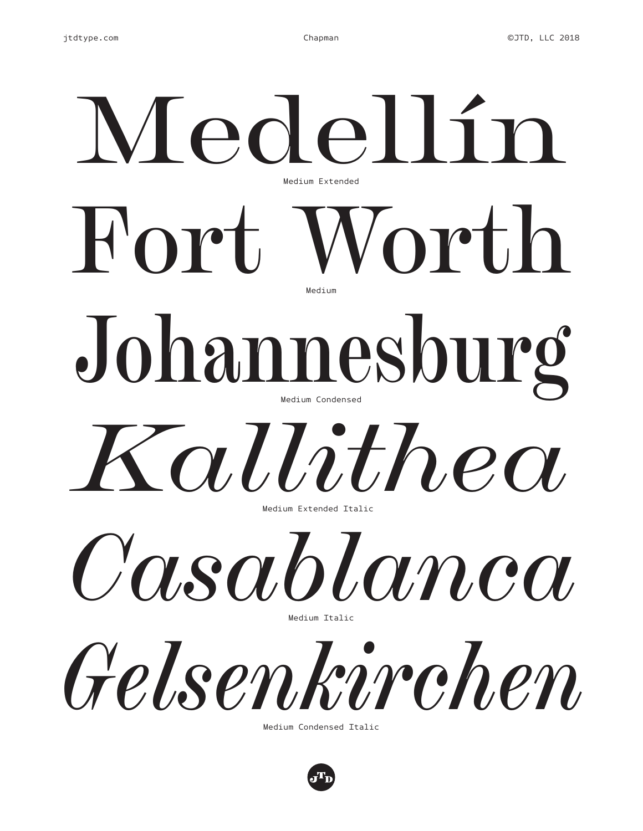# Fort Worth Medellín Johannesburg *Casablanca Kallithea Gelsenkirchen* Medium Extended Medium Medium Condensed Medium Extended Italic Medium Italic Medium Condensed Italic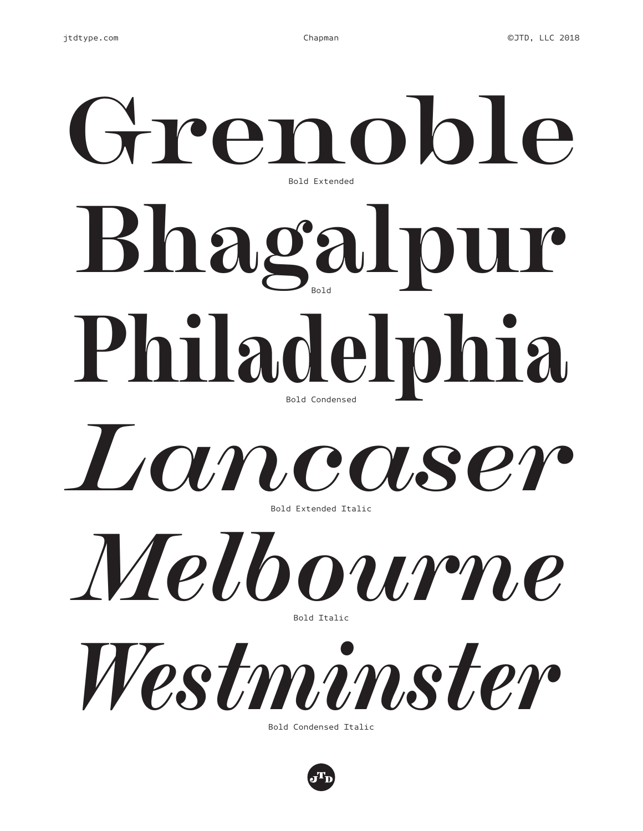# **Bhagalpur Grenoble Philadelphia** Bold Extended Bold Bold Condensed



Bold Extended Italic



*Westminster*

Bold Condensed Italic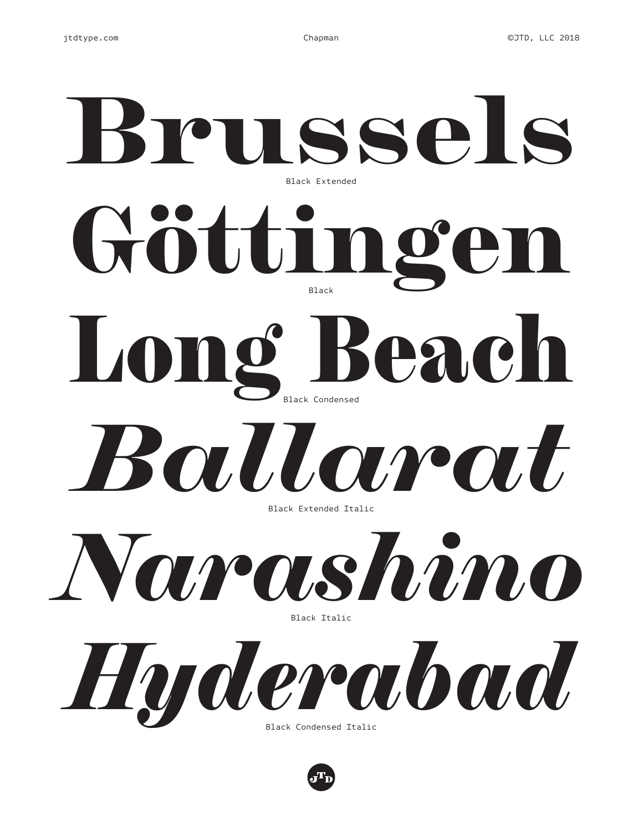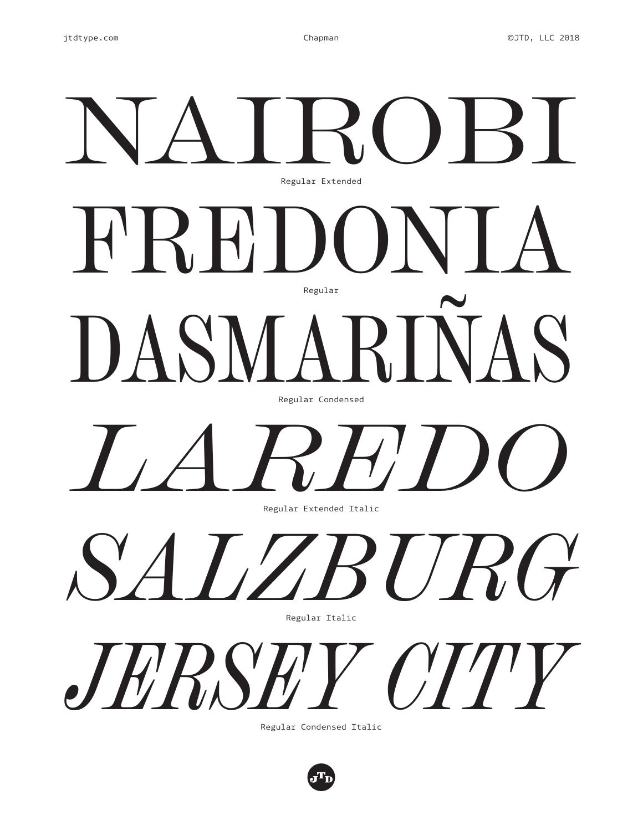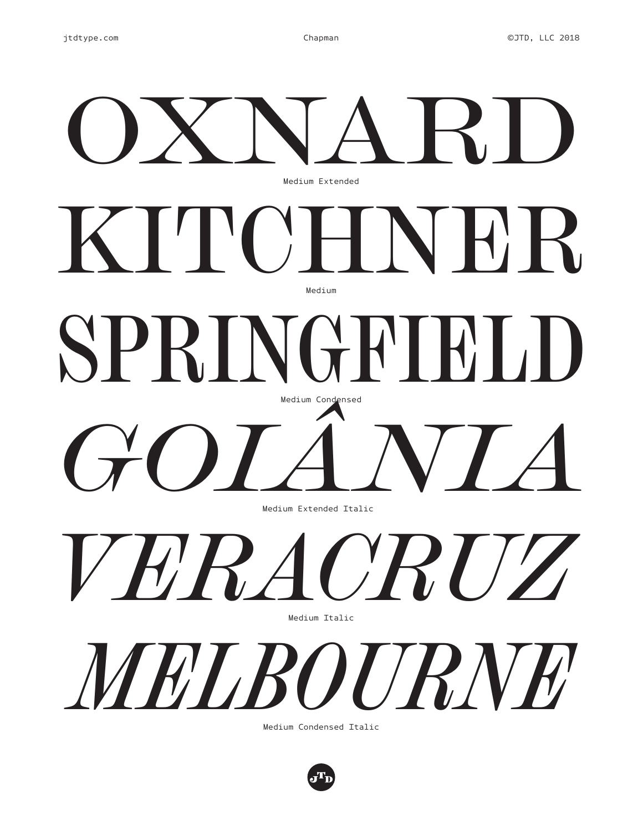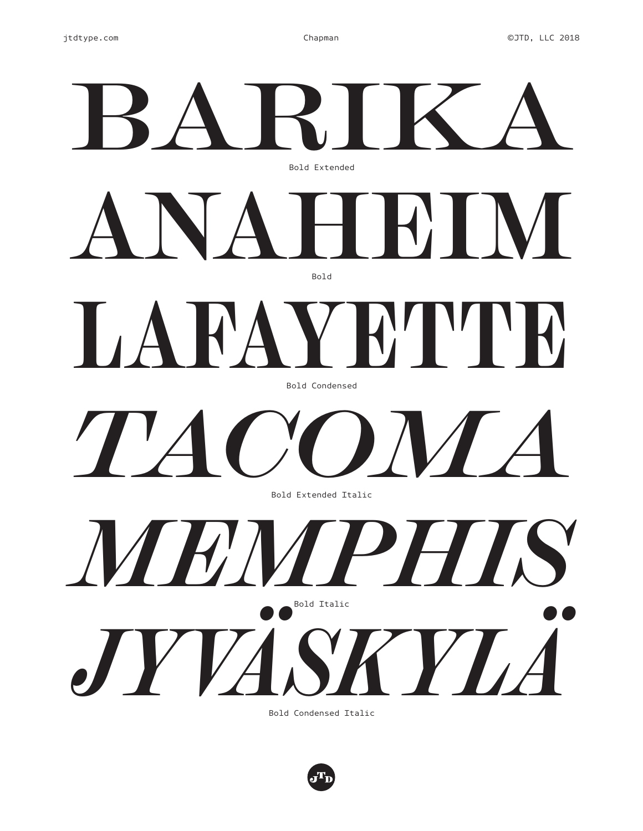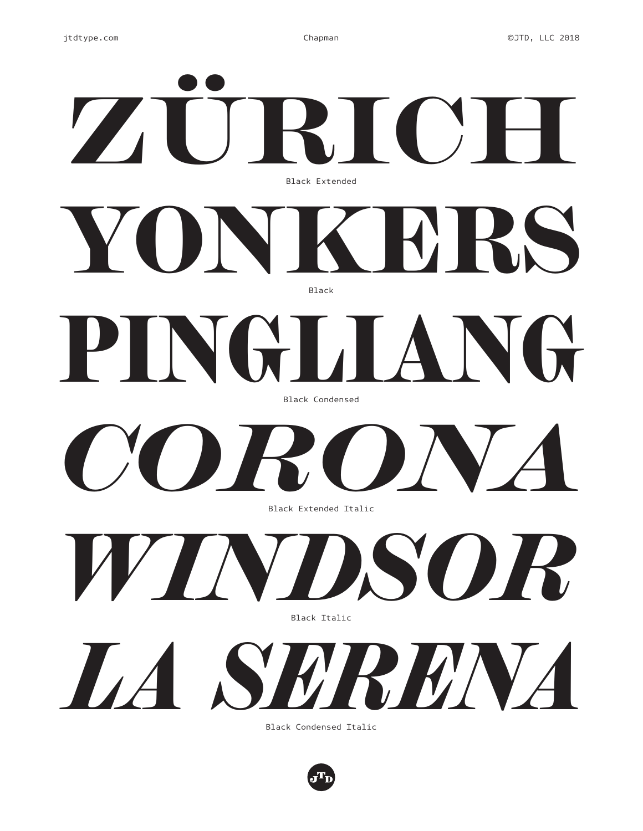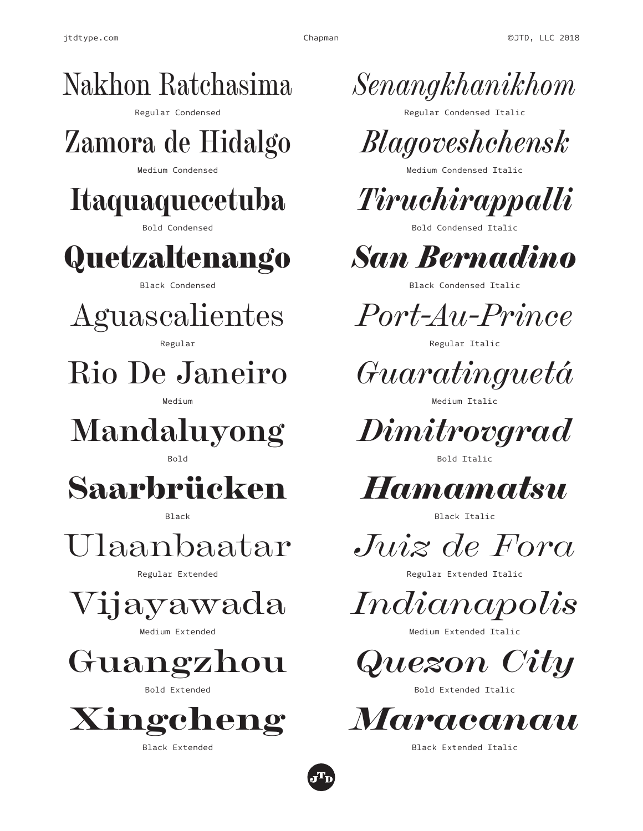



*Senangkhanikhom*

Regular Condensed Italic



Medium Condensed Italic



Bold Condensed Italic

*San Bernadino*

Black Condensed Italic

*Port-Au-Prince*

Regular Italic

*Guaratinguetá*

Medium Italic

*Dimitrovgrad*

Bold Italic



Black Italic

*Juiz de Fora*

Regular Extended Italic

*Indianapolis*

Medium Extended Italic

*Quezon City*

Bold Extended Italic



Black Extended Italic

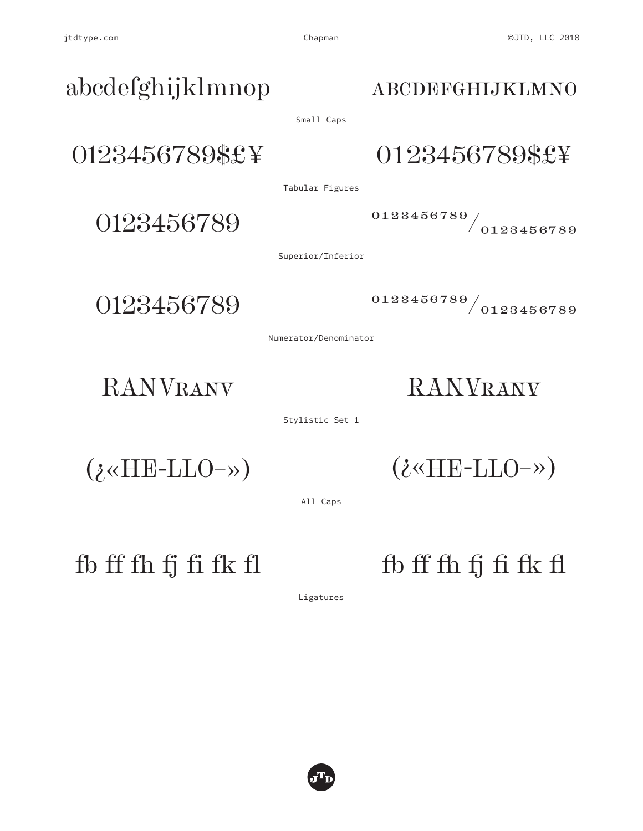## 0123456789\$£¥ 0123456789\$£¥ abcdefghijklmnop Small Caps

Tabular Figures

 $0123456789$  0123456789/0123456789

Superior/Inferior

0123456789 0123456789 0123456789

Numerator/Denominator

RANVRANV RANVRANV

Stylistic Set 1

 $(i \times \text{HE-LLO-} \rightarrow)$ 

(¿«HE-LLO–»)

All Caps

 $f$ b ff fh fj fi fk fl fb ff fh fj fi fk fl

Ligatures



### abcdefghijklmno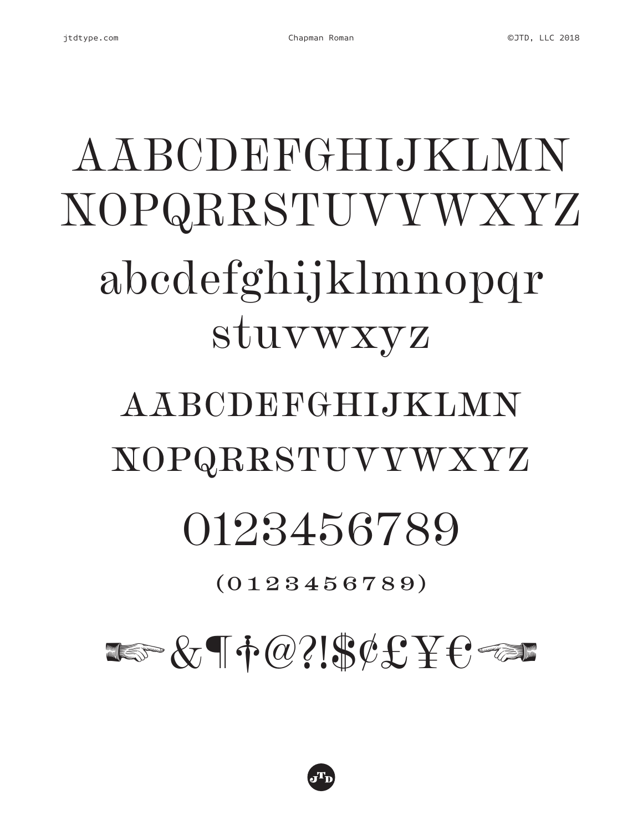

# 

## $(0123456789)$

# 0123456789

# NOPQRRSTUVYWXYZ

AABCDEFGHLJKLMN

# A A BCDEFGHLJKLMN NOPQRRSTUVYWXYZ abcdefghijklmnopqr stuvwxyz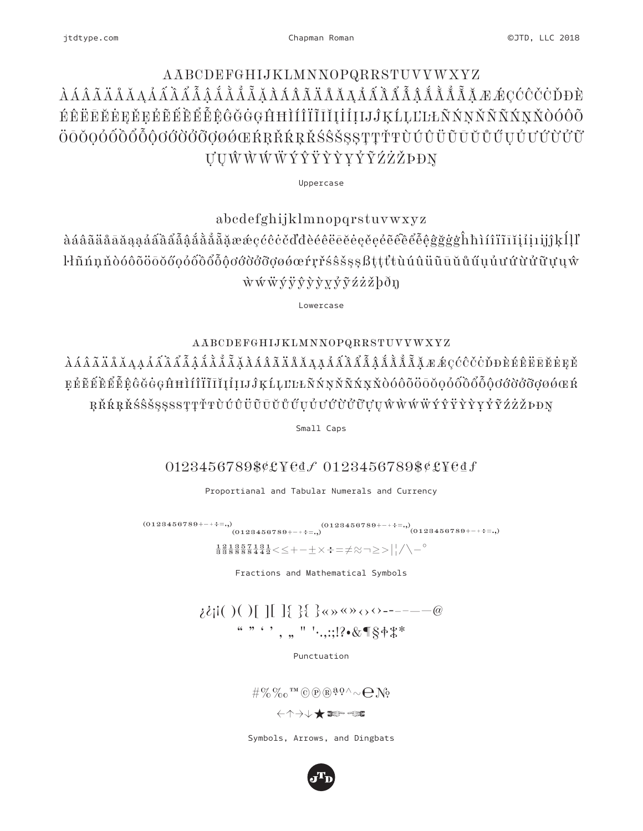#### jtdtype.com

### AABCDEFGHIJKLMNNOPQRRSTUVVWXYZ ÉÊËEĔĖEĚEĚĚĚĚĚĚÊÊĜĞĞGHHÌÍÎÏĨĨĬĮİİIJĴĶĹĻĽĿŁÑŃŅŇÑÑŃŅŇÒÓÔÕ ÖŌŎQÓŐÕŐŐŐŎŎŎŎŎŎQØŐŒŔŖŘŔŖŘŚŜŠŞŞŢŢŤŦÙÚŮŨŨŬŮŰŰŮŮŮŮŮŮ UUŴŴŴŴÝŶŸŶŶYÝŶŹŹŽÞĐŊ

Uppercase

abcdefghijklmnopqrstuvwxyz

àáâãäåāăaaááâââåååååååäææçćĉċčďđèéêëēĕėęěeěẽêêêåĝġġġĥħìíîïīĭijijjjklll  $\dot{w}\acute{w}\ddot{w}\acute{y}\ddot{y}\dot{y}\dot{y}\dot{y}\dot{y}\ddot{y}\ddot{y}\ddot{z}\dot{z}\ddot{z}b\ddot{d}y$ 

Lowercase

### AABCDEFGHIJKLMNNOPQRRSTUVVWXYZ

 $\lambda$ ÁÂÃÄÄÄĄẠÁẤÃÃÃÃÃĂĂÃĂÁÃÃÃÄÄÄĂĂÁẤÃÃÃÃÃÃÅÅÅÅÅÅÅvÆ&ÇĆĈČČĎÐÈÉÈĒĖĘĚ EÉÉÉÉÉÉÉGGGGHHIÍIIIIIIIIII ÎKLLULAŃNŇÑŃŅŇÒÓÔÕÖŌŎQÓŐÕÕŎOĆŎŎŎŎ ŖŘŔŖŘŚŜŠSSSSTŢŤŦÙÚÛÜŨŨŬŮŰŰŮŮŮŮŮŮŲŴŴŴŴÝŶŸŶŶYŶĨŹŻŽÞĐŊ

Small Caps

### 0123456789\$¢£¥edf 0123456789\$¢£¥edf

Proportianal and Tabular Numerals and Currency

 $(0123456789^{+++2-4}),\qquad \qquad (0123456789^{+++2-4}),\qquad \qquad (0123456789^{+++2-4}),\qquad \qquad (0123456789^{+++2-4}),$ 

 $\frac{12}{3388888442}$   $\leq$   $\leq$   $+$   $\pm$   $\times$   $\div$   $=$   $\neq$   $\approx$   $\geq$   $>$   $\frac{1}{2}$   $\wedge$   $\degree$ 

Fractions and Mathematical Symbols

 $i\ell$ il  $( )$   $( )$   $[$   $]$   $[$   $]$   $\{$   $\}$   $\{$   $\}$   $\&$   $\&$   $\&$   $\&$   $\rightarrow$   $- \emptyset$ ",,,"'.,;; ? ~& ¶§+\\*

Punctuation

 $\# \%\%$  o  $^{\rm TM}$  O  $\mathbb{R}$   $^{\mathfrak{g} \mathfrak{g} \wedge_{\mathfrak{g} \mathfrak{g}}}$ 

Symbols, Arrows, and Dingbats

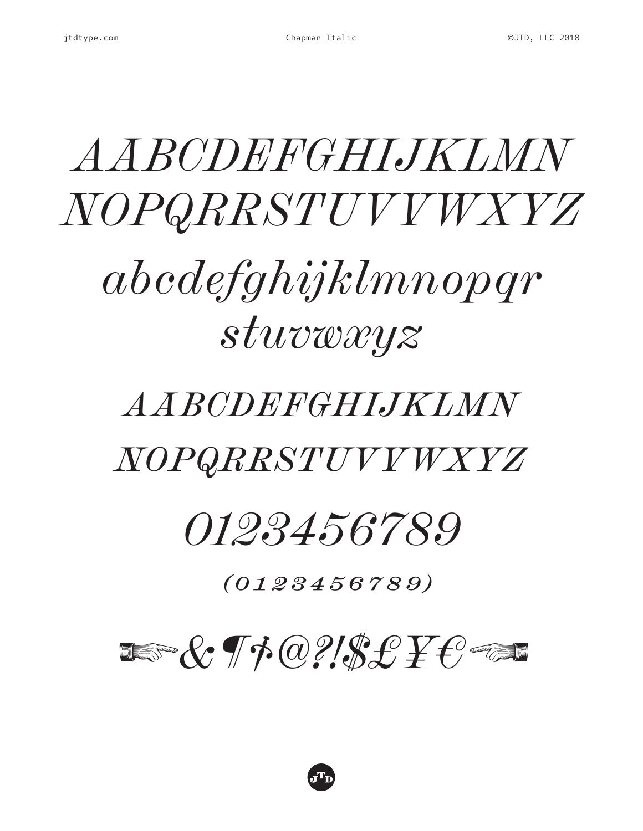# *A A BCDEFGHIJKLMN* NOPQRRSTUVYWXYZ

# $abcdefghijklmnopqr$  $stuvwxyz$

## AABCDEFGHIJKLMN NOPQRRSTUVYWXYZ

## *0123456789*

 $(0123456789)$ 

## $\text{Im } \mathcal{X} \neq \emptyset \text{ and } \mathcal{Y} \neq \emptyset \text{ and } \mathcal{Y} \neq \emptyset \text{ and } \mathcal{Y} \neq \emptyset \text{ and } \mathcal{Y} \neq \emptyset \text{ and } \mathcal{Y} \neq \emptyset \text{ and } \mathcal{Y} \neq \emptyset \text{ and } \mathcal{Y} \neq \emptyset \text{ and } \mathcal{Y} \neq \emptyset \text{ and } \mathcal{Y} \neq \emptyset \text{ and } \mathcal{Y} \neq \emptyset \text{ and } \mathcal{Y} \neq \emptyset \text{ and } \mathcal{Y} \neq \empty$

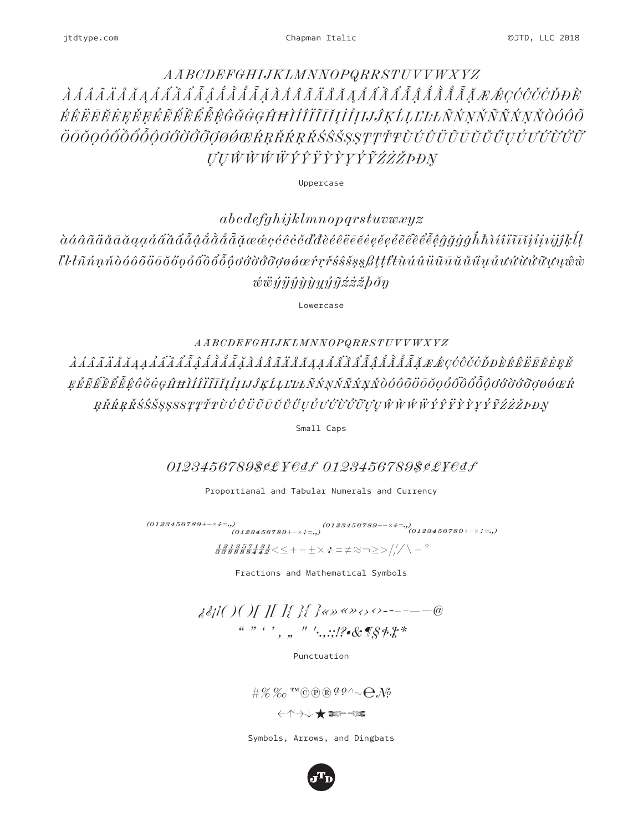### AABCDEFGHIJKLMNNOPQRRSTUVVWXYZ ÉÊËEĔĔĔEĚEĚĔĚĚĚĚĚĜĞĞGĤĦÌÍÎÏĨĬĬĬĬIJĴKĹĿĿĿÑŃNŇÑŇNŇÒÓÔÕ ÖŌŎQÓŐÕŐŐŐŎŎŎŎŎŎŖŔŒŔŖŘŔŖŘŚŜŠŞŞŢŢŤŦÙÚÛÜŨŨŬŰŲŮŬŬŬŬŰ *UUŴŴŴŴÝŶŸŶŶYŶŶŹŻŽÞĐN*

Uppercase

 $abcdefghijklmnopqrstuvwxyz$ *wwyyŷyyyýỹźżżbðŋ* 

Lowercase

 $\label{thm:ABCDEF} AABCDEFGHIJKLMNNOPQRRSTUVVWXYZ$ EÉÉÉÉÉÉÉGGGGHHIÍÍIIIIIIIIIELEKÁNNŇÑŃNŇOOOOOOOOOOOOOOOOOOO ŖŘŔŖŘŚŜŠŞŞSSTŢŤŦÙÚÛÜŨŪŬŰŰŰŰŮŰŮŰŬŲŴŴŴŴÝŶŸŶŶYŶĨŹŻŽÞĐŊ

Small Caps

0123456789\$¢£¥€₫f 0123456789\$¢£¥€₫f

Proportianal and Tabular Numerals and Currency

 $(0123456789+ \times \div = \cdot, ) \qquad \qquad (0123456789+ \times \div = \cdot, ) \qquad \qquad (0123456789+ \times \div = \cdot, ) \qquad \qquad (0123456789+ \times \div = \cdot, )$ 

 $\frac{12}{3388888442}$   $\leq$  + -  $\pm$   $\times$   $\div$  =  $\neq$   $\approx$   $\neg$   $\geq$   $\frac{1}{11}$   $\wedge$   $\sim$   $\degree$ 

Fractions and Mathematical Symbols

Punctuation

 $\# \mathcal{C} \mathcal{C}$  IM © P R  $^{qQ} \wedge \sim \bigoplus \mathcal{N}$ 

Symbols, Arrows, and Dingbats

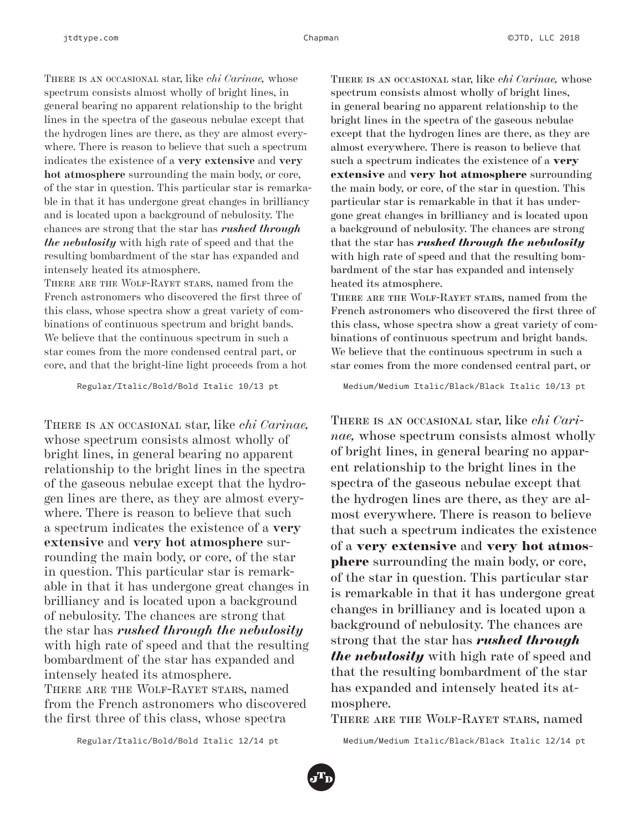There is an occasional star, like *chi Carinae,* whose spectrum consists almost wholly of bright lines, in general bearing no apparent relationship to the bright lines in the spectra of the gaseous nebulae except that the hydrogen lines are there, as they are almost everywhere. There is reason to believe that such a spectrum indicates the existence of a **very extensive** and **very hot atmosphere** surrounding the main body, or core, of the star in question. This particular star is remarkable in that it has undergone great changes in brilliancy and is located upon a background of nebulosity. The chances are strong that the star has *rushed through the nebulosity* with high rate of speed and that the resulting bombardment of the star has expanded and intensely heated its atmosphere.

There are the Wolf-Rayet stars, named from the French astronomers who discovered the first three of this class, whose spectra show a great variety of combinations of continuous spectrum and bright bands. We believe that the continuous spectrum in such a star comes from the more condensed central part, or core, and that the bright-line light proceeds from a hot

Regular/Italic/Bold/Bold Italic 10/13 pt

There is an occasional star, like *chi Carinae,* whose spectrum consists almost wholly of bright lines, in general bearing no apparent relationship to the bright lines in the spectra of the gaseous nebulae except that the hydrogen lines are there, as they are almost everywhere. There is reason to believe that such a spectrum indicates the existence of a **very extensive** and **very hot atmosphere** surrounding the main body, or core, of the star in question. This particular star is remarkable in that it has undergone great changes in brilliancy and is located upon a background of nebulosity. The chances are strong that the star has *rushed through the nebulosity* with high rate of speed and that the resulting bombardment of the star has expanded and intensely heated its atmosphere. There are the Wolf-Rayet stars, named from the French astronomers who discovered the first three of this class, whose spectra

There is an occasional star, like *chi Carinae,* whose spectrum consists almost wholly of bright lines, in general bearing no apparent relationship to the bright lines in the spectra of the gaseous nebulae except that the hydrogen lines are there, as they are almost everywhere. There is reason to believe that such a spectrum indicates the existence of a very extensive and very hot atmosphere surrounding the main body, or core, of the star in question. This particular star is remarkable in that it has undergone great changes in brilliancy and is located upon a background of nebulosity. The chances are strong that the star has *rushed through the nebulosity* with high rate of speed and that the resulting bombardment of the star has expanded and intensely heated its atmosphere.

There are the Wolf-Rayet stars, named from the French astronomers who discovered the first three of this class, whose spectra show a great variety of combinations of continuous spectrum and bright bands. We believe that the continuous spectrum in such a star comes from the more condensed central part, or

Medium/Medium Italic/Black/Black Italic 10/13 pt

There is an occasional star, like *chi Carinae,* whose spectrum consists almost wholly of bright lines, in general bearing no apparent relationship to the bright lines in the spectra of the gaseous nebulae except that the hydrogen lines are there, as they are almost everywhere. There is reason to believe that such a spectrum indicates the existence of a very extensive and very hot atmosphere surrounding the main body, or core, of the star in question. This particular star is remarkable in that it has undergone great changes in brilliancy and is located upon a background of nebulosity. The chances are strong that the star has *rushed through the nebulosity* with high rate of speed and that the resulting bombardment of the star has expanded and intensely heated its atmosphere.

There are the Wolf-Rayet stars, named

Regular/Italic/Bold/Bold Italic 12/14 pt

Medium/Medium Italic/Black/Black Italic 12/14 pt

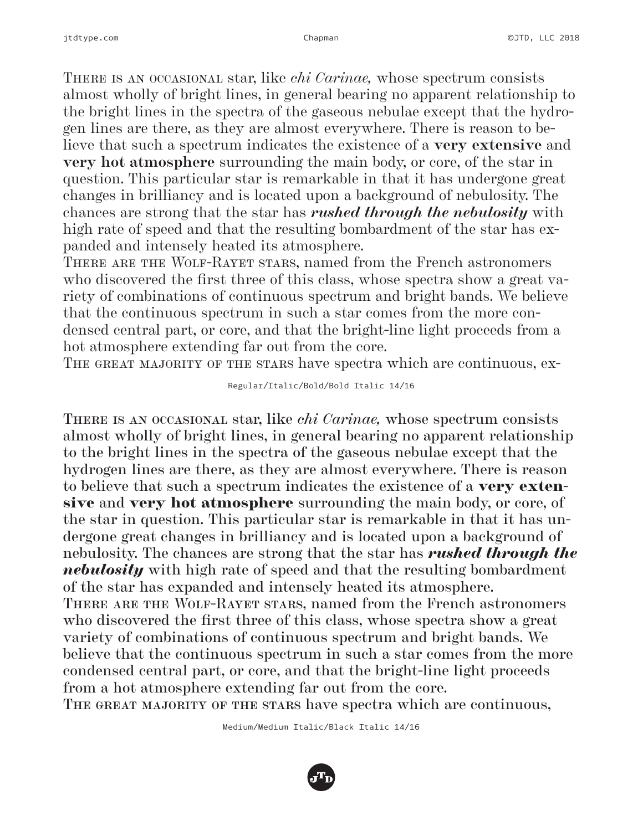There is an occasional star, like *chi Carinae,* whose spectrum consists almost wholly of bright lines, in general bearing no apparent relationship to the bright lines in the spectra of the gaseous nebulae except that the hydrogen lines are there, as they are almost everywhere. There is reason to believe that such a spectrum indicates the existence of a **very extensive** and **very hot atmosphere** surrounding the main body, or core, of the star in question. This particular star is remarkable in that it has undergone great changes in brilliancy and is located upon a background of nebulosity. The chances are strong that the star has *rushed through the nebulosity* with high rate of speed and that the resulting bombardment of the star has expanded and intensely heated its atmosphere.

There are the Wolf-Rayet stars, named from the French astronomers who discovered the first three of this class, whose spectra show a great variety of combinations of continuous spectrum and bright bands. We believe that the continuous spectrum in such a star comes from the more condensed central part, or core, and that the bright-line light proceeds from a hot atmosphere extending far out from the core.

THE GREAT MAJORITY OF THE STARS have spectra which are continuous, ex-

#### Regular/Italic/Bold/Bold Italic 14/16

There is an occasional star, like *chi Carinae,* whose spectrum consists almost wholly of bright lines, in general bearing no apparent relationship to the bright lines in the spectra of the gaseous nebulae except that the hydrogen lines are there, as they are almost everywhere. There is reason to believe that such a spectrum indicates the existence of a very extensive and very hot atmosphere surrounding the main body, or core, of the star in question. This particular star is remarkable in that it has undergone great changes in brilliancy and is located upon a background of nebulosity. The chances are strong that the star has *rushed through the nebulosity* with high rate of speed and that the resulting bombardment of the star has expanded and intensely heated its atmosphere. There are the Wolf-Rayet stars, named from the French astronomers who discovered the first three of this class, whose spectra show a great variety of combinations of continuous spectrum and bright bands. We believe that the continuous spectrum in such a star comes from the more condensed central part, or core, and that the bright-line light proceeds from a hot atmosphere extending far out from the core. THE GREAT MAJORITY OF THE STARS have spectra which are continuous,

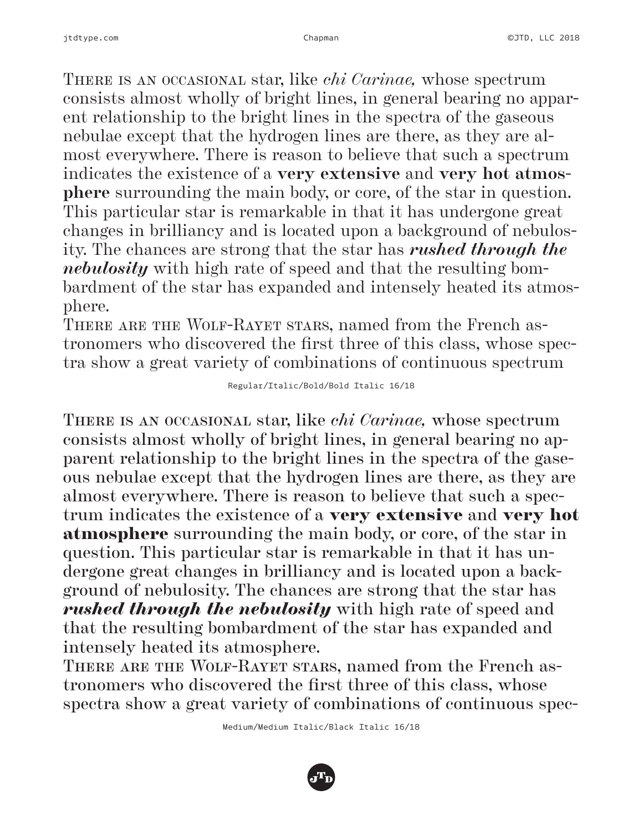There is an occasional star, like *chi Carinae,* whose spectrum consists almost wholly of bright lines, in general bearing no apparent relationship to the bright lines in the spectra of the gaseous nebulae except that the hydrogen lines are there, as they are almost everywhere. There is reason to believe that such a spectrum indicates the existence of a **very extensive** and **very hot atmosphere** surrounding the main body, or core, of the star in question. This particular star is remarkable in that it has undergone great changes in brilliancy and is located upon a background of nebulosity. The chances are strong that the star has *rushed through the nebulosity* with high rate of speed and that the resulting bombardment of the star has expanded and intensely heated its atmosphere.

There are the Wolf-Rayet stars, named from the French astronomers who discovered the first three of this class, whose spectra show a great variety of combinations of continuous spectrum

#### Regular/Italic/Bold/Bold Italic 16/18

There is an occasional star, like *chi Carinae,* whose spectrum consists almost wholly of bright lines, in general bearing no apparent relationship to the bright lines in the spectra of the gaseous nebulae except that the hydrogen lines are there, as they are almost everywhere. There is reason to believe that such a spectrum indicates the existence of a very extensive and very hot atmosphere surrounding the main body, or core, of the star in question. This particular star is remarkable in that it has undergone great changes in brilliancy and is located upon a background of nebulosity. The chances are strong that the star has *rushed through the nebulosity* with high rate of speed and that the resulting bombardment of the star has expanded and intensely heated its atmosphere.

THERE ARE THE WOLF-RAYET STARS, named from the French astronomers who discovered the first three of this class, whose spectra show a great variety of combinations of continuous spec-

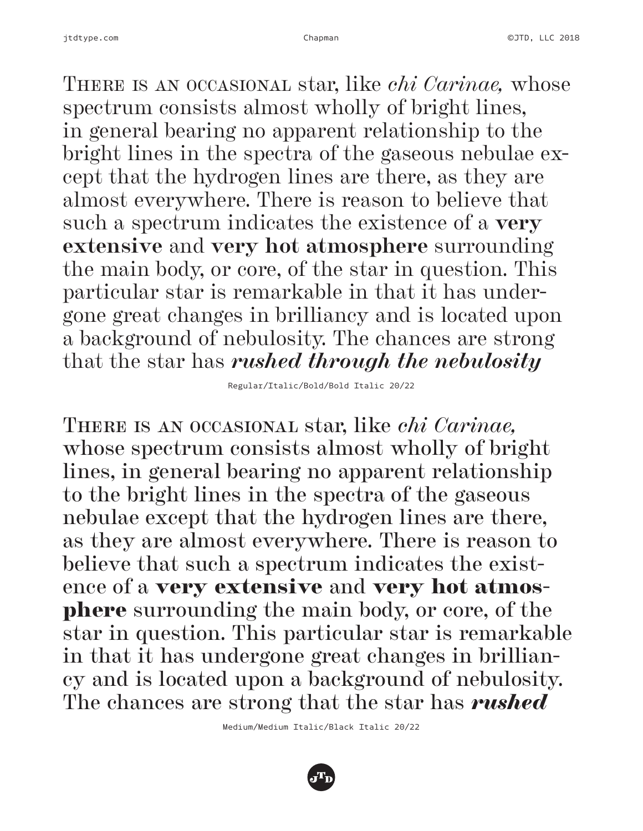There is an occasional star, like *chi Carinae,* whose spectrum consists almost wholly of bright lines, in general bearing no apparent relationship to the bright lines in the spectra of the gaseous nebulae except that the hydrogen lines are there, as they are almost everywhere. There is reason to believe that such a spectrum indicates the existence of a **very extensive** and **very hot atmosphere** surrounding the main body, or core, of the star in question. This particular star is remarkable in that it has undergone great changes in brilliancy and is located upon a background of nebulosity. The chances are strong that the star has *rushed through the nebulosity*

Regular/Italic/Bold/Bold Italic 20/22

There is an occasional star, like *chi Carinae,*  whose spectrum consists almost wholly of bright lines, in general bearing no apparent relationship to the bright lines in the spectra of the gaseous nebulae except that the hydrogen lines are there, as they are almost everywhere. There is reason to believe that such a spectrum indicates the existence of a very extensive and very hot atmosphere surrounding the main body, or core, of the star in question. This particular star is remarkable in that it has undergone great changes in brilliancy and is located upon a background of nebulosity. The chances are strong that the star has *rushed* 

Medium/Medium Italic/Black Italic 20/22

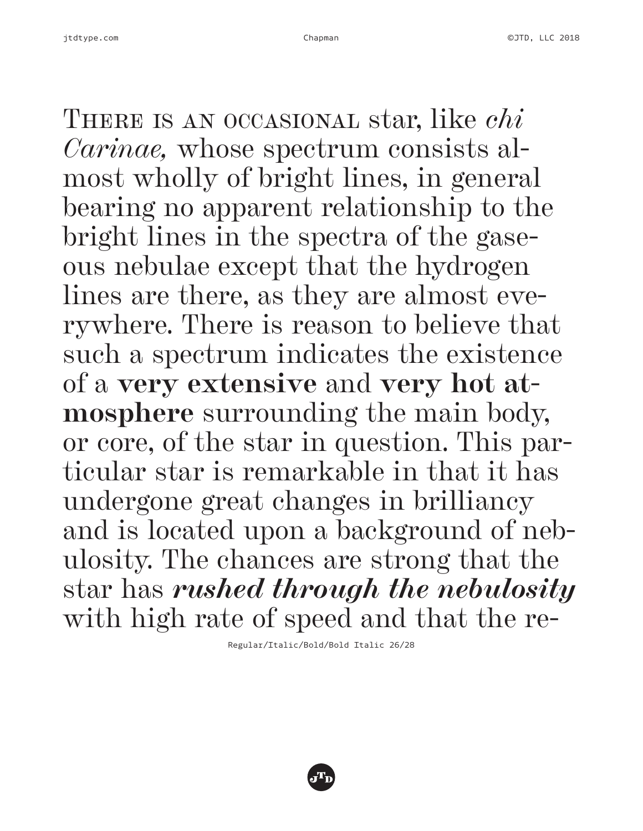There is an occasional star, like *chi Carinae,* whose spectrum consists almost wholly of bright lines, in general bearing no apparent relationship to the bright lines in the spectra of the gaseous nebulae except that the hydrogen lines are there, as they are almost everywhere. There is reason to believe that such a spectrum indicates the existence of a **very extensive** and **very hot atmosphere** surrounding the main body, or core, of the star in question. This particular star is remarkable in that it has undergone great changes in brilliancy and is located upon a background of nebulosity. The chances are strong that the star has *rushed through the nebulosity* with high rate of speed and that the re-

Regular/Italic/Bold/Bold Italic 26/28

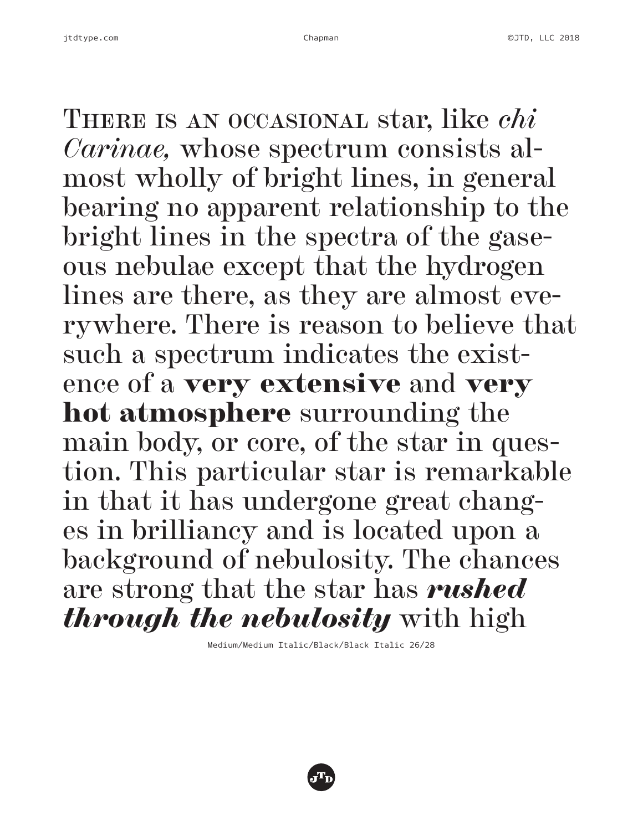There is an occasional star, like *chi Carinae,* whose spectrum consists almost wholly of bright lines, in general bearing no apparent relationship to the bright lines in the spectra of the gaseous nebulae except that the hydrogen lines are there, as they are almost everywhere. There is reason to believe that such a spectrum indicates the existence of a very extensive and very hot atmosphere surrounding the main body, or core, of the star in question. This particular star is remarkable in that it has undergone great changes in brilliancy and is located upon a background of nebulosity. The chances are strong that the star has *rushed through the nebulosity* with high

Medium/Medium Italic/Black/Black Italic 26/28

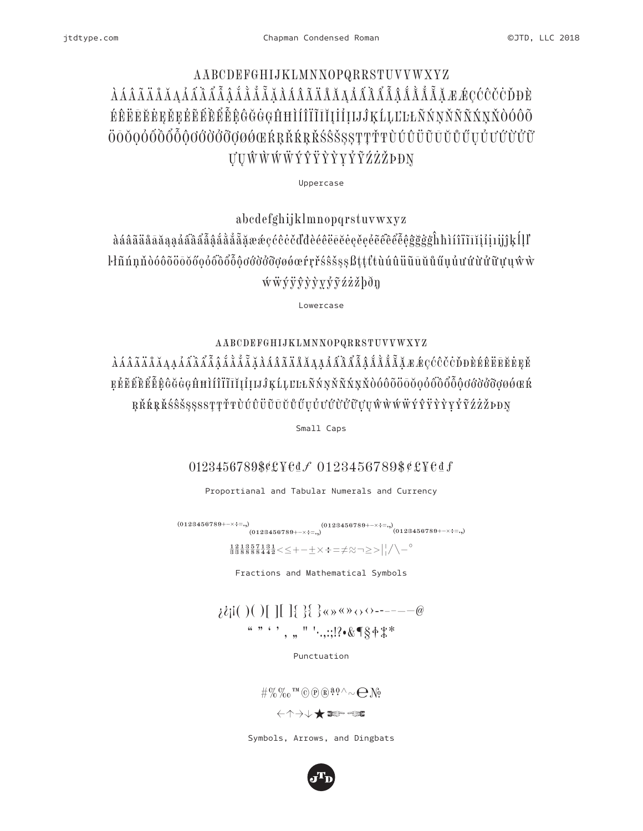### AABCDEFGHIJKLMNNOPQRRSTUVVWXYZ ŔŔĔĔĔĔĿĔĿĔĔĔŔŔŔŔĠĠĠĠĠŦĦĨĬĨĨĨĬĬIJĨIJĹĸĹĻĽĿĿŇŃŅŇÑŇŃŇŎÓÔÕ ÖŌŎOÓŐŐŐŐŐŐŐŐŐŐØØŔRŘŔRŘŚŜŠSSTTŤŦÙÚŮÜŨŨŬŰŰŬŰŬŰŮŰ UUŴŴŴŴÝŶŸŶŶYŶŶŹŹŽÞĐŊ

Uppercase

abcdefghijklmnopqrstuvwxyz àáâãäåāăaaáâââââåååååãææçćĉċčďdèéêëēĕėęěęěĉêêêĝĝġġĥhìíîïīĭjjjjjkĺļľ l·lñnnňòóôōöōŏőoóôôôôôooooooooonrřśsšssßttttuúûüūūŭűűuúuúùûữuuŵw  $\overline{\textbf{w}}\overline{\textbf{w}}\overline{\textbf{y}}\overline{\textbf{y}}\overline{\textbf{y}}\overline{\textbf{y}}\overline{\textbf{y}}\overline{\textbf{y}}\overline{\textbf{y}}\overline{\textbf{z}}\overline{\textbf{z}}\overline{\textbf{z}}\overline{\textbf{z}}$ 

Lowercase

AABCDEFGHIJKLMNNOPQRRSTUVVWXYZ EÉEÉÈÉÉGGGGHHI IIIIIIIIIII SKLLELKNNNNNNDO SOOSOO SOOS SOOS SOOG SOOG ŖŘŔŖŘŚŜŠŞŞSSTŢŤŦÙÚŮÜŨŪŬŮŰŲŮƯŰŮŮŨŲŲŴŴŴŴŶŶŸŶŶŶŶŹŹŽĐĐŊ

Small Caps

0123456789\$¢£¥edf 0123456789\$¢£¥edf

Proportianal and Tabular Numerals and Currency

 $\substack{(0123456789+\dots+\div=),\\(0123456789+\dots+\div=),} (0123456789+\dots+\div=),\\(0123456789+\dots+\div=),}$ 

 $\frac{1}{3}\frac{2}{3}\frac{1}{8}\frac{8}{8}\frac{5}{8}\frac{7}{8}\frac{1}{4}\frac{3}{4}\frac{1}{2}$  <  $\leq$  +  $-\pm \times$  +  $\pm \neq \approx$   $\rightarrow$   $\geq$   $>$   $\mid$   $/ \setminus ^{\circ}$ 

Fractions and Mathematical Symbols

 $\lambda \{i | ( ) ( ) [ ] | \}$   $\} \{ \} \{ \} \{ \} \{ \} \{ \} \{ \}$ "" ", , " '...:!? · & TS+\\*

Punctuation

 $\# \%\%$   $\alpha$ <sup>m</sup>  $\odot$   $\odot$   $\odot$   $\ddot{\text{a}}$   $\ddot{\text{a}}$   $\circ \land \sim \bigoplus$   $\bigwedge$ 

Symbols, Arrows, and Dingbats

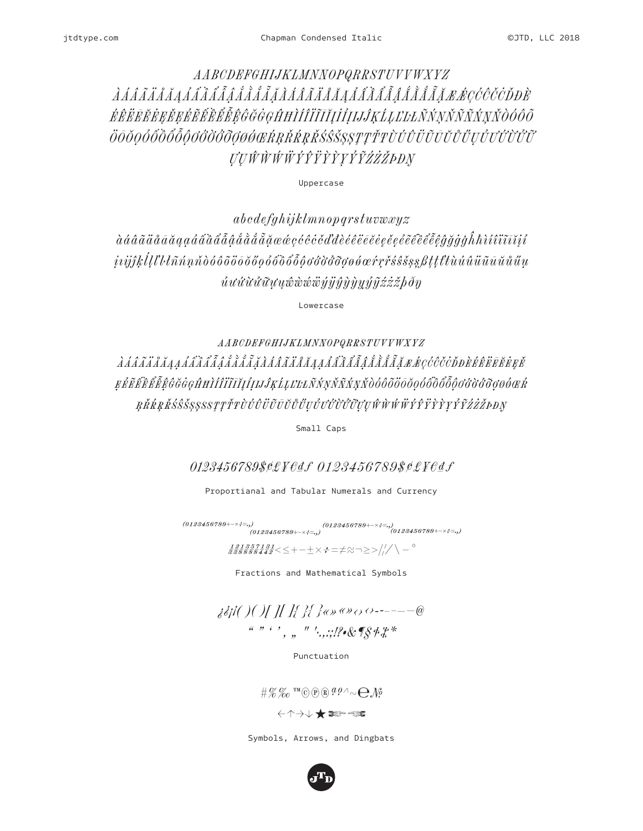### AABCDEFGHIJKLMNNOPQRRSTUVVWXYZ ÉÊËEĔĖEĚEÉĚĚĚĚĚÊĜĞĞGAHÌ Í Î Î Ĩ Ĭ I I Î I I J KĹLĽLEŇ NN ŇÑ Ň N Ň O Ó Ô Õ ÖŌŎŎŎŎŎŎŎŎŎĠĠŎŎŎŎŎŎŒŔŖŘŔŖŘŚŜŠŞŞŢŢŤŦÙÚÛÜŨŨŬŮŰŲŮŬŮŨŨŨ *UUŴŴŴŴŶŶŸŶŶYŶŶŹŻŻĎĐŊ*

Uppercase

 $abcdefghijklmnopqrstuvwxyz$  $\hat{u}u\hat{u}\hat{u}\hat{u}\hat{u}u\hat{u}\hat{w}\hat{w}\hat{w}\hat{w}\hat{y}\hat{y}\hat{y}\hat{y}\hat{y}\hat{y}\hat{y}\hat{y}\hat{z}\hat{z}\hat{z}\hat{b}\hat{\theta}\hat{\eta}$ 

Lowercase

AABCDEFGHIJKLMNNOPQRRSTUVYWXYZ EÉÉÉÉÉÉÉGGGHHI filille valari népt do sossos southermet de la construction de la construction de la constructio ŖŘŔŖŘŚŜŠŞŞSSŢŢŤŦÒÚÛÜŨŪŬŮŰŲŮƯŰŨŮŨŲŲŴŴŴŴÝŶŸŶŶYŶĨŹŻŽÞĐŊ

Small Caps

0123456789\$¢£¥€df 0123456789\$¢£¥€df

Proportianal and Tabular Numerals and Currency

 $\begin{array}{l} (0123456789 + \cdots + \ddots + \ddots) \\ (0123456789 + \cdots + \ddots + \ddots) \\ (0123456789 + \cdots + \ddots + \ddots) \end{array} \nonumber \\ (0123456789 + \cdots + \ddots) \end{array}$ 

Fractions and Mathematical Symbols

j&jl( )( )[ ][ ]{ }{ }«»«»<>>>--------@  $\sum_{i=1}^{n}$ 

Punctuation

 $\# \mathcal{C} \mathcal{C}$  IM © ® ®  $^{g\rho\wedge}\sim \bigoplus \mathcal{N}$ 

Symbols, Arrows, and Dingbats

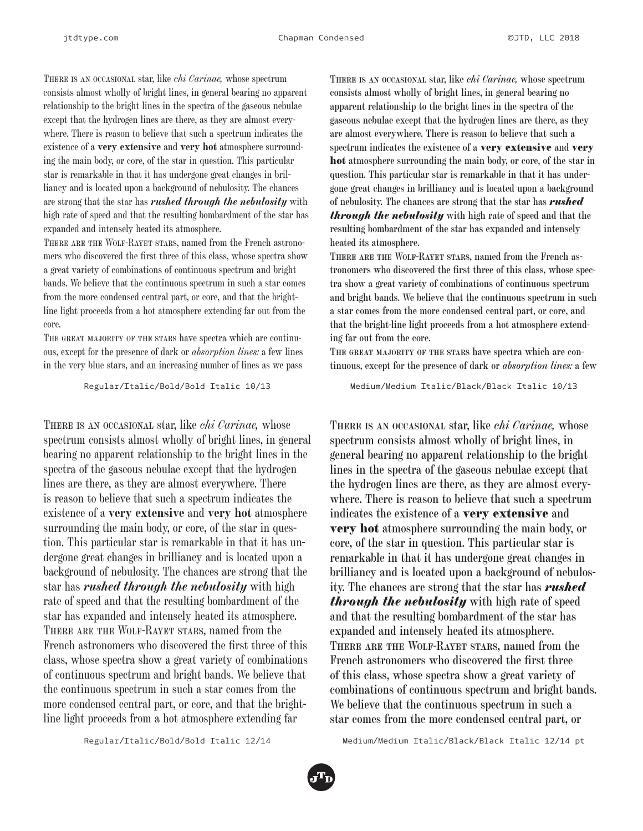There is an occasional star, like *chi Carinae,* whose spectrum consists almost wholly of bright lines, in general bearing no apparent relationship to the bright lines in the spectra of the gaseous nebulae except that the hydrogen lines are there, as they are almost everywhere. There is reason to believe that such a spectrum indicates the existence of a **very extensive** and **very hot** atmosphere surrounding the main body, or core, of the star in question. This particular star is remarkable in that it has undergone great changes in brilliancy and is located upon a background of nebulosity. The chances are strong that the star has *rushed through the nebulosity* with high rate of speed and that the resulting bombardment of the star has expanded and intensely heated its atmosphere.

There are the Wolf-Rayet stars, named from the French astronomers who discovered the first three of this class, whose spectra show a great variety of combinations of continuous spectrum and bright bands. We believe that the continuous spectrum in such a star comes from the more condensed central part, or core, and that the brightline light proceeds from a hot atmosphere extending far out from the core.

THE GREAT MAJORITY OF THE STARS have spectra which are continuous, except for the presence of dark or *absorption lines:* a few lines in the very blue stars, and an increasing number of lines as we pass

Regular/Italic/Bold/Bold Italic 10/13

There is an occasional star, like *chi Carinae,* whose spectrum consists almost wholly of bright lines, in general bearing no apparent relationship to the bright lines in the spectra of the gaseous nebulae except that the hydrogen lines are there, as they are almost everywhere. There is reason to believe that such a spectrum indicates the existence of a **very extensive** and **very hot** atmosphere surrounding the main body, or core, of the star in question. This particular star is remarkable in that it has undergone great changes in brilliancy and is located upon a background of nebulosity. The chances are strong that the star has *rushed through the nebulosity* with high rate of speed and that the resulting bombardment of the star has expanded and intensely heated its atmosphere. There are the Wolf-Rayet stars, named from the French astronomers who discovered the first three of this class, whose spectra show a great variety of combinations of continuous spectrum and bright bands. We believe that the continuous spectrum in such a star comes from the more condensed central part, or core, and that the brightline light proceeds from a hot atmosphere extending far

There is an occasional star, like *chi Carinae,* whose spectrum consists almost wholly of bright lines, in general bearing no apparent relationship to the bright lines in the spectra of the gaseous nebulae except that the hydrogen lines are there, as they are almost everywhere. There is reason to believe that such a spectrum indicates the existence of a very extensive and very hot atmosphere surrounding the main body, or core, of the star in question. This particular star is remarkable in that it has undergone great changes in brilliancy and is located upon a background of nebulosity. The chances are strong that the star has *rushed through the nebulosity* with high rate of speed and that the resulting bombardment of the star has expanded and intensely heated its atmosphere.

There are the Wolf-Rayet stars, named from the French astronomers who discovered the first three of this class, whose spectra show a great variety of combinations of continuous spectrum and bright bands. We believe that the continuous spectrum in such a star comes from the more condensed central part, or core, and that the bright-line light proceeds from a hot atmosphere extending far out from the core.

THE GREAT MAJORITY OF THE STARS have spectra which are continuous, except for the presence of dark or *absorption lines:* a few

Medium/Medium Italic/Black/Black Italic 10/13

There is an occasional star, like *chi Carinae,* whose spectrum consists almost wholly of bright lines, in general bearing no apparent relationship to the bright lines in the spectra of the gaseous nebulae except that the hydrogen lines are there, as they are almost everywhere. There is reason to believe that such a spectrum indicates the existence of a very extensive and very hot atmosphere surrounding the main body, or core, of the star in question. This particular star is remarkable in that it has undergone great changes in brilliancy and is located upon a background of nebulosity. The chances are strong that the star has *rushed through the nebulosity* with high rate of speed and that the resulting bombardment of the star has expanded and intensely heated its atmosphere. There are the Wolf-Rayet stars, named from the French astronomers who discovered the first three of this class, whose spectra show a great variety of combinations of continuous spectrum and bright bands. We believe that the continuous spectrum in such a star comes from the more condensed central part, or

Regular/Italic/Bold/Bold Italic 12/14

Medium/Medium Italic/Black/Black Italic 12/14 pt

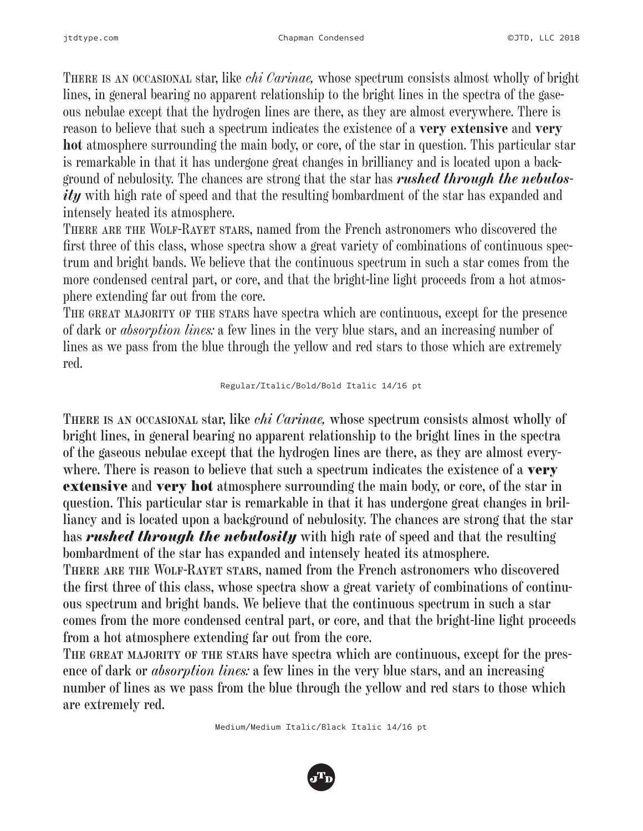There is an occasional star, like *chi Carinae,* whose spectrum consists almost wholly of bright lines, in general bearing no apparent relationship to the bright lines in the spectra of the gaseous nebulae except that the hydrogen lines are there, as they are almost everywhere. There is reason to believe that such a spectrum indicates the existence of a **very extensive** and **very hot** atmosphere surrounding the main body, or core, of the star in question. This particular star is remarkable in that it has undergone great changes in brilliancy and is located upon a background of nebulosity. The chances are strong that the star has *rushed through the nebulosity* with high rate of speed and that the resulting bombardment of the star has expanded and intensely heated its atmosphere.

There are the Wolf-Rayet stars, named from the French astronomers who discovered the first three of this class, whose spectra show a great variety of combinations of continuous spectrum and bright bands. We believe that the continuous spectrum in such a star comes from the more condensed central part, or core, and that the bright-line light proceeds from a hot atmosphere extending far out from the core.

THE GREAT MAJORITY OF THE STARS have spectra which are continuous, except for the presence of dark or *absorption lines:* a few lines in the very blue stars, and an increasing number of lines as we pass from the blue through the yellow and red stars to those which are extremely red.

#### Regular/Italic/Bold/Bold Italic 14/16 pt

There is an occasional star, like *chi Carinae,* whose spectrum consists almost wholly of bright lines, in general bearing no apparent relationship to the bright lines in the spectra of the gaseous nebulae except that the hydrogen lines are there, as they are almost everywhere. There is reason to believe that such a spectrum indicates the existence of a **very** extensive and very hot atmosphere surrounding the main body, or core, of the star in question. This particular star is remarkable in that it has undergone great changes in brilliancy and is located upon a background of nebulosity. The chances are strong that the star has *rushed through the nebulosity* with high rate of speed and that the resulting bombardment of the star has expanded and intensely heated its atmosphere.

There are the Wolf-Rayet stars, named from the French astronomers who discovered the first three of this class, whose spectra show a great variety of combinations of continuous spectrum and bright bands. We believe that the continuous spectrum in such a star comes from the more condensed central part, or core, and that the bright-line light proceeds from a hot atmosphere extending far out from the core.

THE GREAT MAJORITY OF THE STARS have spectra which are continuous, except for the presence of dark or *absorption lines:* a few lines in the very blue stars, and an increasing number of lines as we pass from the blue through the yellow and red stars to those which are extremely red.

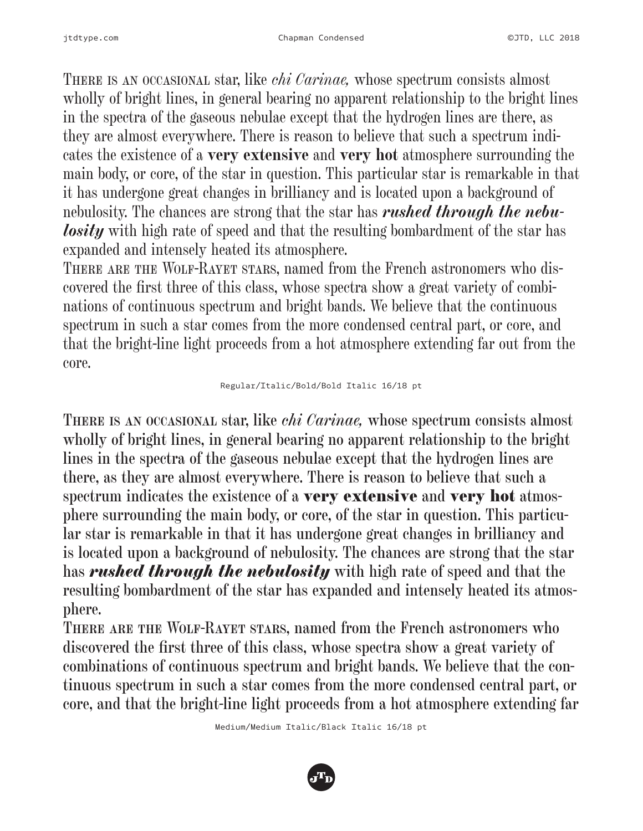There is an occasional star, like *chi Carinae,* whose spectrum consists almost wholly of bright lines, in general bearing no apparent relationship to the bright lines in the spectra of the gaseous nebulae except that the hydrogen lines are there, as they are almost everywhere. There is reason to believe that such a spectrum indicates the existence of a **very extensive** and **very hot** atmosphere surrounding the main body, or core, of the star in question. This particular star is remarkable in that it has undergone great changes in brilliancy and is located upon a background of nebulosity. The chances are strong that the star has *rushed through the nebulosity* with high rate of speed and that the resulting bombardment of the star has expanded and intensely heated its atmosphere.

THERE ARE THE WOLF-RAYET STARS, named from the French astronomers who discovered the first three of this class, whose spectra show a great variety of combinations of continuous spectrum and bright bands. We believe that the continuous spectrum in such a star comes from the more condensed central part, or core, and that the bright-line light proceeds from a hot atmosphere extending far out from the core.

#### Regular/Italic/Bold/Bold Italic 16/18 pt

There is an occasional star, like *chi Carinae,* whose spectrum consists almost wholly of bright lines, in general bearing no apparent relationship to the bright lines in the spectra of the gaseous nebulae except that the hydrogen lines are there, as they are almost everywhere. There is reason to believe that such a spectrum indicates the existence of a **very extensive** and **very hot** atmosphere surrounding the main body, or core, of the star in question. This particular star is remarkable in that it has undergone great changes in brilliancy and is located upon a background of nebulosity. The chances are strong that the star has *rushed through the nebulosity* with high rate of speed and that the resulting bombardment of the star has expanded and intensely heated its atmosphere.

There are the Wolf-Rayet stars, named from the French astronomers who discovered the first three of this class, whose spectra show a great variety of combinations of continuous spectrum and bright bands. We believe that the continuous spectrum in such a star comes from the more condensed central part, or core, and that the bright-line light proceeds from a hot atmosphere extending far

Medium/Medium Italic/Black Italic 16/18 pt

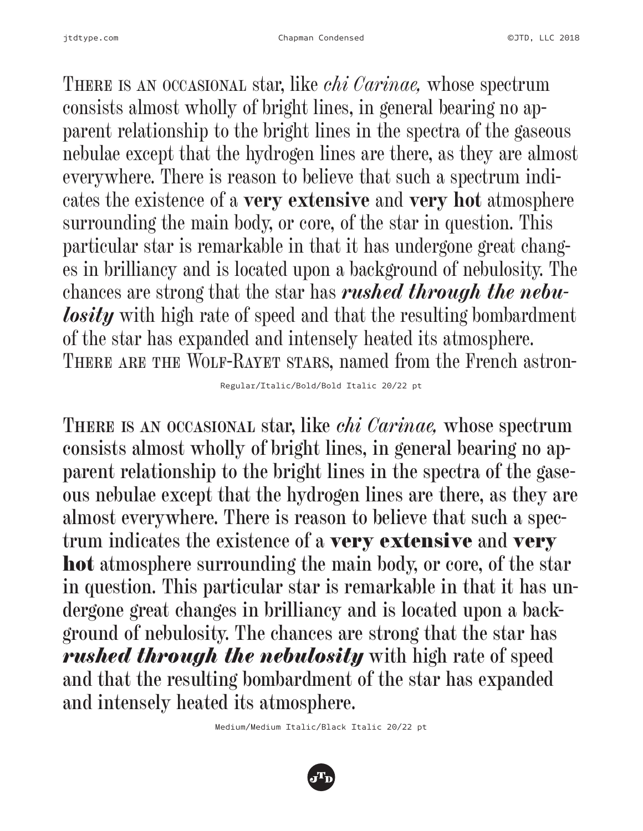There is an occasional star, like *chi Carinae,* whose spectrum consists almost wholly of bright lines, in general bearing no apparent relationship to the bright lines in the spectra of the gaseous nebulae except that the hydrogen lines are there, as they are almost everywhere. There is reason to believe that such a spectrum indicates the existence of a **very extensive** and **very hot** atmosphere surrounding the main body, or core, of the star in question. This particular star is remarkable in that it has undergone great changes in brilliancy and is located upon a background of nebulosity. The chances are strong that the star has *rushed through the nebulosity* with high rate of speed and that the resulting bombardment of the star has expanded and intensely heated its atmosphere. There are the Wolf-Rayet stars, named from the French astron-

Regular/Italic/Bold/Bold Italic 20/22 pt

There is an occasional star, like *chi Carinae,* whose spectrum consists almost wholly of bright lines, in general bearing no apparent relationship to the bright lines in the spectra of the gaseous nebulae except that the hydrogen lines are there, as they are almost everywhere. There is reason to believe that such a spectrum indicates the existence of a very extensive and very hot atmosphere surrounding the main body, or core, of the star in question. This particular star is remarkable in that it has undergone great changes in brilliancy and is located upon a background of nebulosity. The chances are strong that the star has *rushed through the nebulosity* with high rate of speed and that the resulting bombardment of the star has expanded and intensely heated its atmosphere.

Medium/Medium Italic/Black Italic 20/22 pt

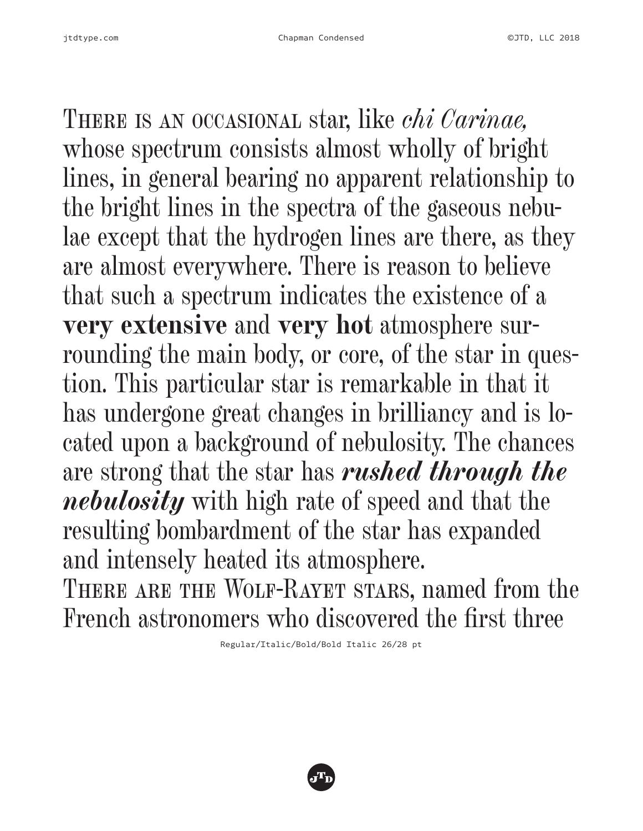There is an occasional star, like *chi Carinae,* whose spectrum consists almost wholly of bright lines, in general bearing no apparent relationship to the bright lines in the spectra of the gaseous nebulae except that the hydrogen lines are there, as they are almost everywhere. There is reason to believe that such a spectrum indicates the existence of a **very extensive** and **very hot** atmosphere surrounding the main body, or core, of the star in question. This particular star is remarkable in that it has undergone great changes in brilliancy and is located upon a background of nebulosity. The chances are strong that the star has *rushed through the nebulosity* with high rate of speed and that the resulting bombardment of the star has expanded and intensely heated its atmosphere. THERE ARE THE WOLF-RAYET STARS, named from the French astronomers who discovered the first three

Regular/Italic/Bold/Bold Italic 26/28 pt

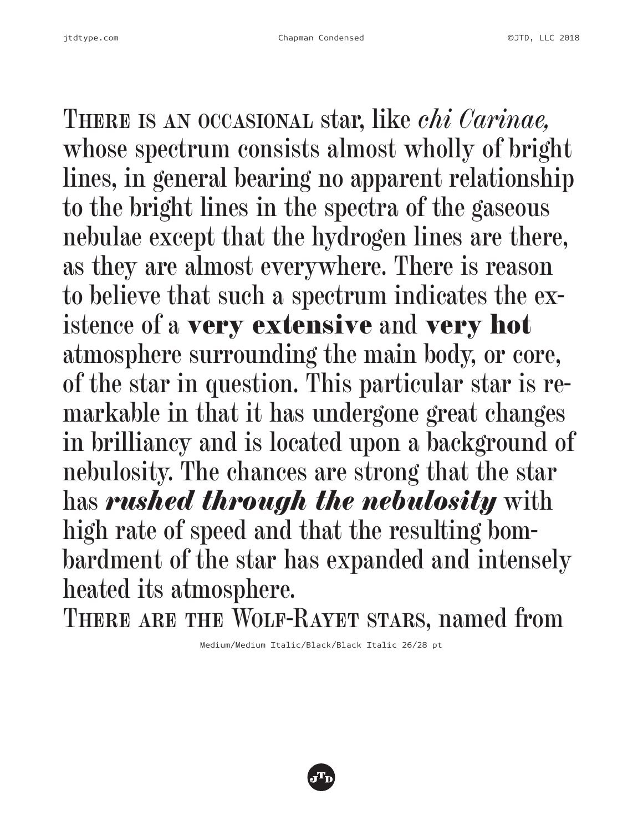There is an occasional star, like *chi Carinae,* whose spectrum consists almost wholly of bright lines, in general bearing no apparent relationship to the bright lines in the spectra of the gaseous nebulae except that the hydrogen lines are there, as they are almost everywhere. There is reason to believe that such a spectrum indicates the existence of a very extensive and very hot atmosphere surrounding the main body, or core, of the star in question. This particular star is remarkable in that it has undergone great changes in brilliancy and is located upon a background of nebulosity. The chances are strong that the star has *rushed through the nebulosity* with high rate of speed and that the resulting bombardment of the star has expanded and intensely heated its atmosphere.

THERE ARE THE WOLF-RAYET STARS, named from

Medium/Medium Italic/Black/Black Italic 26/28 pt

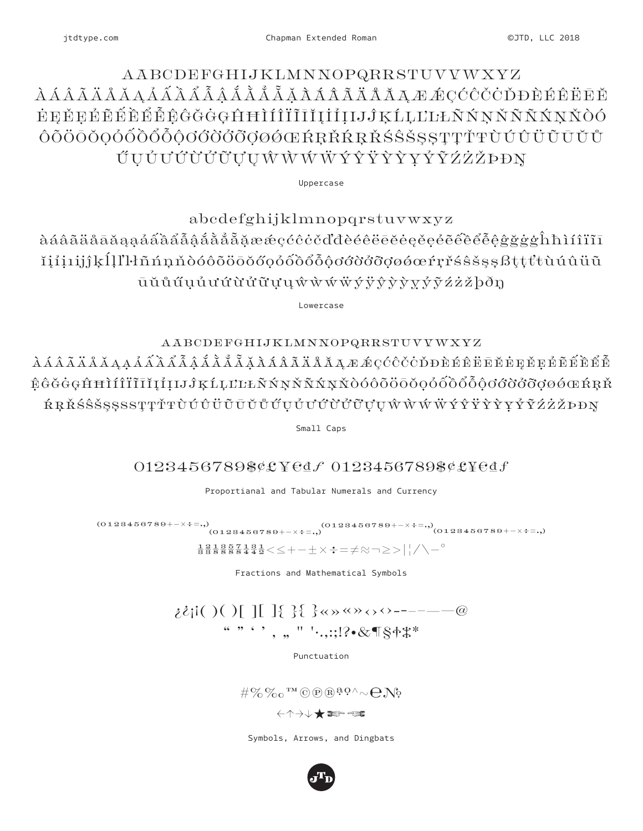#### jtdtype.com

### AABCDEFGHIJKLMNNOPQRRSTUVVWXYZ *ÀÁÂÃÄÅĂĄÁÃÃÃÃÅÅÅÅÅÅÅÃÃÃÃÃÄÄÄĀÆÆÇĆĈČČDDÈÉËËĒĔ* ĖĘĚĘÉĔĚĚĚĚĈĠĞĠĢĤĦÌÍÎĨĨĬĬĮİİIJĴĶĹĻĽĿŁÑŃŅŇÑŇŃŅŇÒÓ ÔÕÖŌŎQÓŐÕŐŐÔOŐÖÖŐØØØŒŔŖŘŔŖŘŚŜŠSSTTŤŦÙÚŮÜŨŨŬŮ ŰŲŮŮŮŮŮŮŲŲŴŴŴŴÝŶŸŶŶŶŶŽŹŻĎĐŊ

Uppercase

abcdefghijklmnopqrstuvwxyz àáâãäåāāǎąạáâââẩẫậắằẳẵặææçćĉċčďđèéêëēĕėęěęéẽêêêåĝġġġĥħìíîïĩī ĭiíiiijĵkĺlľŀñńnňòóôōöōŏőọỏốòổôôôoơờờơơøøœŕrřśŝšssßttťŧùúûüũ ūŭůűuúuứừửữựuŵŵŵŵÿŷỳỳyỷỹźżžþðŋ

Lowercase

### AABCDEFGHIJKLMNNOPQRRSTUVVWXYZ

 $\lambda$ ÁÂÃÄÅĂĄẠẢẤÃÃÃÃÃĂÅÃĂĂÁÃÃÄĂĂXÆÆÇĆĈČČĎĐÈÉÊËĒĔĖĘĚĒÉÊÊĚ ÊĜĞĠĢĤĦÌÍÎÏĨĨĬĮÍIJĴĶĹĻĽĿĿÑŃŅŇÑŃŅŇÒÓÔÕŎŌŎŎŐŐŐŐŐŐŐŎØØØŒŔŖŘ ŔŖŘŚŜŠSSSSSTTŤŦÙÚÛÜŨŨŬŰŰŰŮŮŮŮŮŮŬVVŴŴŴÝŶŸŶŶYŶŶŹŹŽĐĐŊ

Small Caps

### 0123456789\$¢£¥edf 0123456789\$¢£¥edf

Proportianal and Tabular Numerals and Currency

 $(0128456789+-\times+-,)(0128456789+\times+-,)(0128456789+\times+-,)(0128456789+\times+-,)$ 

 $\frac{1}{8}$  $\frac{2}{8}$  $\frac{1}{8}$  $\frac{8}{8}$  $\frac{5}{8}$  $\frac{7}{8}$  $\frac{1}{4}$  $\frac{3}{4}$  $\frac{1}{2}$   $\leq$   $\leq$   $+$   $\pm$   $\times$   $\div$   $=$   $\neq$   $\approx$   $\geq$   $>$   $\mid$   $/$   $\setminus$   $^{\circ}$ 

Fractions and Mathematical Symbols

",,, ",,; !? & T§4\\*

Punctuation

 $\# \%\%$  or  $^{\text{TM}}$  O D B a  $^{\text{Q}}$   $\wedge$   $\sim$   $\bigodot$  No

Symbols, Arrows, and Dingbats

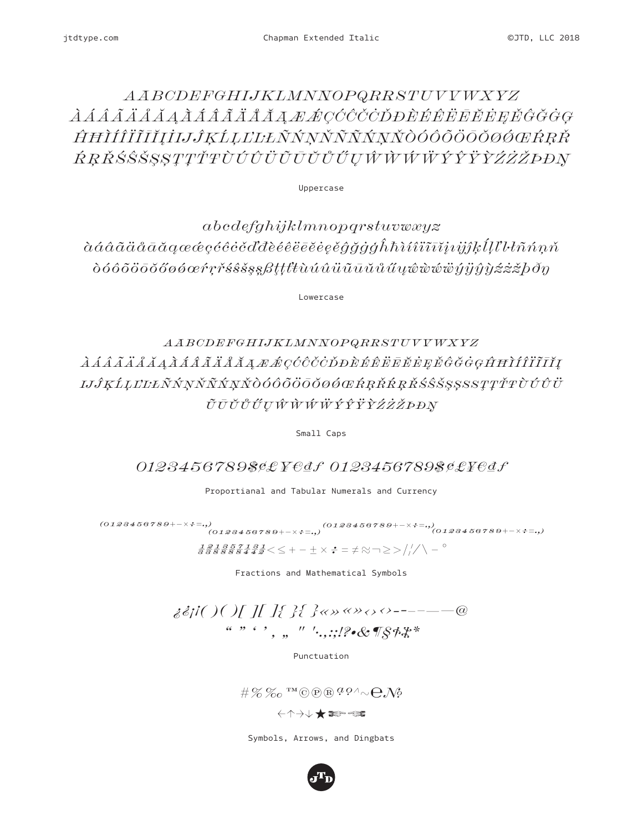### $\label{thm:ABCDEF} AABCDEFGHIJKLMNNOPQRRSTUVVWXYZ$ *ÀÁÂÃÄÅĂĂĂÁÂÃÄÅÄÄAÆÆÇĆĈČČDĐÈÉÊËĒĔEEĞĜĞĠG* ĤĦÌÍÎĨĨĨĬĮİIJĴĶĹĻĽĿŁŇŃŅŇŇŇŇŅŇÒÓÔÕŎŌØØŒŔŖŘ ŔŖŘŚŜŠSSTŢŤŦÙÚÛÜŨŨŨŮŰŲŴŴŴŴÝŶŸŶŹŻŽĐĐŊ

Uppercase

 $abcdefghijklmnopqrstuvwxyz$  $\hat{\alpha}\hat{\alpha}\hat{\alpha}\tilde{\alpha}\tilde{\alpha}\tilde{\alpha}\tilde{\alpha}\tilde{\alpha}\alpha\alpha\alpha\hat{c}\varphi\hat{c}\hat{c}\hat{c}\hat{c}\tilde{c}\tilde{d}d\tilde{d}\hat{e}\hat{e}\hat{e}\tilde{e}\tilde{e}\tilde{e}\hat{e}\hat{e}\tilde{g}\tilde{g}\tilde{g}\tilde{g}\hat{h}\tilde{h}\tilde{h}\tilde{i}\tilde{i}\tilde{i}\tilde{i}\tilde{i}\tilde{i}\tilde{j}\tilde{j}\tilde{k}\tilde{l}\tilde{l}'l'l'\tilde{h}\tilde{n}'\tilde{n}\tilde{n}$  $\delta$ 666 $\delta$ ööob $\delta$ 66 $\delta$ e $\gamma$ r  $\delta$ s $\delta$ s $\delta$ s $\beta$ ttt $\ell$ u ú $\hat{u}$ ū $\bar{u}$ ū $\tilde{u}$ u ű $\psi$ www $\tilde{y}$ y $\hat{y}$ y $\gamma$ z $\dot{z}$ z $\delta$ b $\delta$  $\eta$ 

Lowercase

### $\label{thm:ABCDEF} A\,AB\,CDEF G\,H\,I\,J\,K\,L\,M\,N\,N\,O\,P\,Q\,R\,R\,S\,T\,U\,V\,V\,W\,X\,YZ$ *ÀÁÂÃÄÅÅÅÅÂÂÂÃÄÄÅÄĄÆÆÇĆĈČČĎĐÈÉÊËĒĔĔĘĚĜĞĠĢĤĦÌÍÎÏĨĬĮ* IJĴĶĹĻĽĿĿÑŃŅŇÑŃŅŇÒÓÔÕŎŎŎØŎŒŔŖŘŔŖŘŚŜŠŞŞSSTŢŤŦÙÚŮÜ ŨŪŬŮŰŲŴŴŴŴÝŶŸŶŹŻŽPĐŊ

Small Caps

0123456789\$¢£¥€df 0123456789\$¢£¥€df

Proportianal and Tabular Numerals and Currency

 $(0128456789+-\times+;=0)$   $(0128456789+\times+;=0)$   $(0128456789+\times+;=0)$   $(0128456789+\times+;=0)$  $\frac{1}{3}\frac{2}{3}\frac{1}{8}\frac{3}{8}\frac{5}{8}\frac{7}{8}\frac{1}{4}\frac{3}{4}\frac{1}{2}<\leq +-\pm\times\div=\neq\approx\negg\geq\rangle/\sqrt{1-\degree}$ 

Fractions and Mathematical Symbols

 $\frac{a}{a}$ ,  $\frac{b}{b}$ ,  $\frac{a}{b}$ ,  $\frac{a}{c}$ ,  $\frac{b}{c}$ ,  $\frac{c}{c}$ ,  $\frac{c}{c}$ ,  $\frac{d}{c}$ ,  $\frac{d}{c}$ ,  $\frac{d}{c}$ ,  $\frac{d}{c}$ ,  $\frac{d}{c}$ ,  $\frac{d}{c}$ ,  $\frac{d}{c}$ ,  $\frac{d}{c}$ ,  $\frac{d}{c}$ ,  $\frac{d}{c}$ ,  $\frac{d}{c}$ ,  $\frac{d}{c}$ ,  $\frac{d}{c}$ ,

Punctuation

 $\#\%$ %  $\infty$  more as  $q \circ \wedge \sim Q \circ \wedge \circ$ 

Symbols, Arrows, and Dingbats

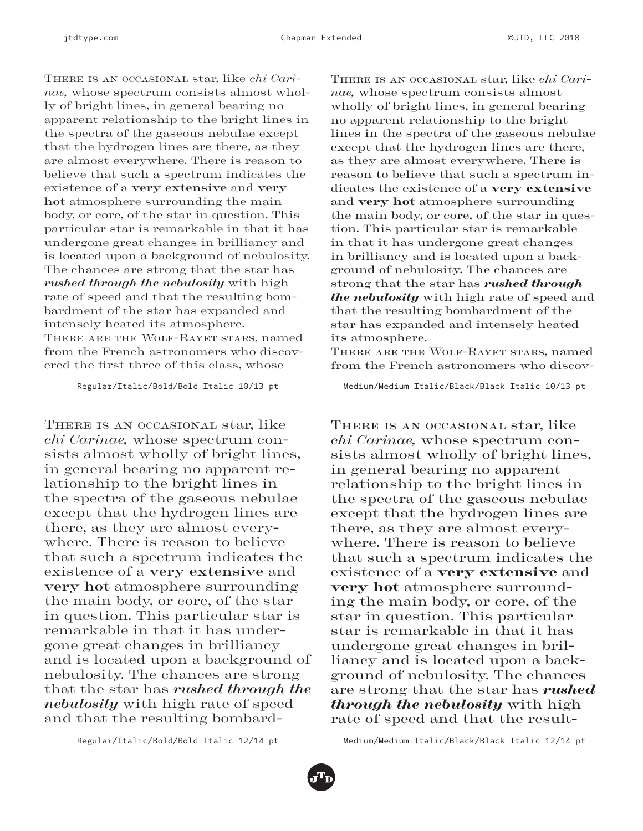There is an occasional star, like *chi Carinae,* whose spectrum consists almost wholly of bright lines, in general bearing no apparent relationship to the bright lines in the spectra of the gaseous nebulae except that the hydrogen lines are there, as they are almost everywhere. There is reason to believe that such a spectrum indicates the existence of a **very extensive** and **very hot** atmosphere surrounding the main body, or core, of the star in question. This particular star is remarkable in that it has undergone great changes in brilliancy and is located upon a background of nebulosity. The chances are strong that the star has *rushed through the nebulosity* with high rate of speed and that the resulting bombardment of the star has expanded and intensely heated its atmosphere. There are the Wolf-Rayet stars, named from the French astronomers who discovered the first three of this class, whose

Regular/Italic/Bold/Bold Italic 10/13 pt

THERE IS AN OCCASIONAL star, like *chi Carinae,* whose spectrum consists almost wholly of bright lines, in general bearing no apparent relationship to the bright lines in the spectra of the gaseous nebulae except that the hydrogen lines are there, as they are almost everywhere. There is reason to believe that such a spectrum indicates the existence of a **very extensive** and **very hot** atmosphere surrounding the main body, or core, of the star in question. This particular star is remarkable in that it has undergone great changes in brilliancy and is located upon a background of nebulosity. The chances are strong that the star has *rushed through the nebulosity* with high rate of speed and that the resulting bombardThere is an occasional star, like *chi Carinae,* whose spectrum consists almost wholly of bright lines, in general bearing no apparent relationship to the bright lines in the spectra of the gaseous nebulae except that the hydrogen lines are there, as they are almost everywhere. There is reason to believe that such a spectrum indicates the existence of a very extensive and very hot atmosphere surrounding the main body, or core, of the star in question. This particular star is remarkable in that it has undergone great changes in brilliancy and is located upon a background of nebulosity. The chances are strong that the star has *rushed through the nebulosity* with high rate of speed and that the resulting bombardment of the star has expanded and intensely heated its atmosphere.

There are the Wolf-Rayet stars, named from the French astronomers who discov-

Medium/Medium Italic/Black/Black Italic 10/13 pt

THERE IS AN OCCASIONAL star, like *chi Carinae,* whose spectrum consists almost wholly of bright lines, in general bearing no apparent relationship to the bright lines in the spectra of the gaseous nebulae except that the hydrogen lines are there, as they are almost everywhere. There is reason to believe that such a spectrum indicates the existence of a very extensive and very hot atmosphere surrounding the main body, or core, of the star in question. This particular star is remarkable in that it has undergone great changes in brilliancy and is located upon a background of nebulosity. The chances are strong that the star has *rushed through the nebulosity* with high rate of speed and that the result-

Regular/Italic/Bold/Bold Italic 12/14 pt

Medium/Medium Italic/Black/Black Italic 12/14 pt

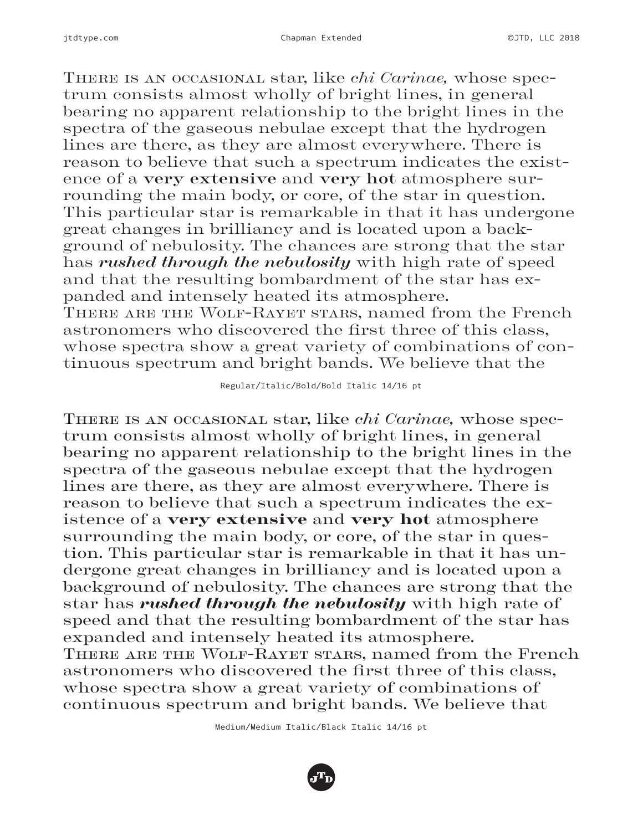There is an occasional star, like *chi Carinae,* whose spectrum consists almost wholly of bright lines, in general bearing no apparent relationship to the bright lines in the spectra of the gaseous nebulae except that the hydrogen lines are there, as they are almost everywhere. There is reason to believe that such a spectrum indicates the existence of a **very extensive** and **very hot** atmosphere surrounding the main body, or core, of the star in question. This particular star is remarkable in that it has undergone great changes in brilliancy and is located upon a background of nebulosity. The chances are strong that the star has *rushed through the nebulosity* with high rate of speed and that the resulting bombardment of the star has expanded and intensely heated its atmosphere. There are the Wolf-Rayet stars, named from the French astronomers who discovered the first three of this class, whose spectra show a great variety of combinations of continuous spectrum and bright bands. We believe that the

Regular/Italic/Bold/Bold Italic 14/16 pt

There is an occasional star, like *chi Carinae,* whose spectrum consists almost wholly of bright lines, in general bearing no apparent relationship to the bright lines in the spectra of the gaseous nebulae except that the hydrogen lines are there, as they are almost everywhere. There is reason to believe that such a spectrum indicates the existence of a very extensive and very hot atmosphere surrounding the main body, or core, of the star in question. This particular star is remarkable in that it has undergone great changes in brilliancy and is located upon a background of nebulosity. The chances are strong that the star has *rushed through the nebulosity* with high rate of speed and that the resulting bombardment of the star has expanded and intensely heated its atmosphere. There are the Wolf-Rayet stars, named from the French astronomers who discovered the first three of this class, whose spectra show a great variety of combinations of continuous spectrum and bright bands. We believe that

Medium/Medium Italic/Black Italic 14/16 pt

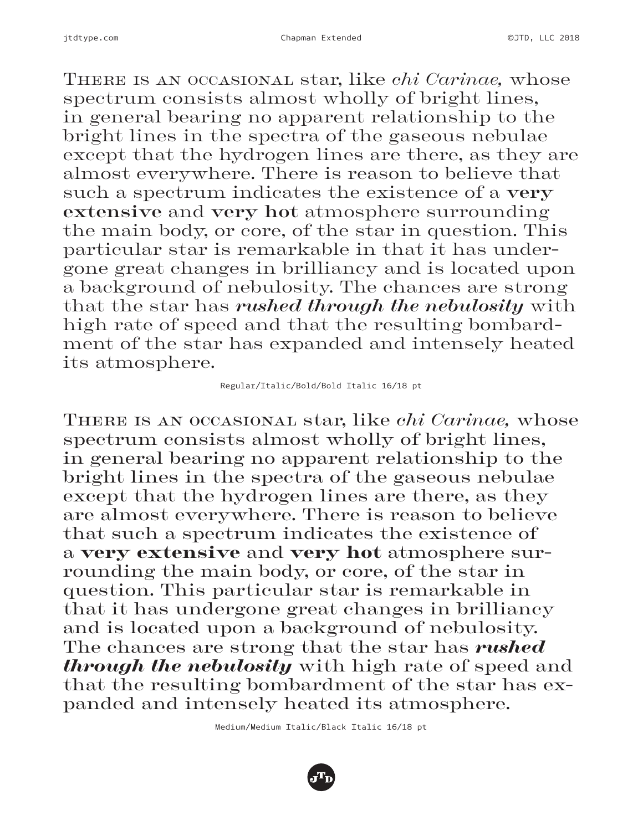There is an occasional star, like *chi Carinae,* whose spectrum consists almost wholly of bright lines, in general bearing no apparent relationship to the bright lines in the spectra of the gaseous nebulae except that the hydrogen lines are there, as they are almost everywhere. There is reason to believe that such a spectrum indicates the existence of a **very extensive** and **very hot** atmosphere surrounding the main body, or core, of the star in question. This particular star is remarkable in that it has undergone great changes in brilliancy and is located upon a background of nebulosity. The chances are strong that the star has *rushed through the nebulosity* with high rate of speed and that the resulting bombardment of the star has expanded and intensely heated its atmosphere.

#### Regular/Italic/Bold/Bold Italic 16/18 pt

There is an occasional star, like *chi Carinae,* whose spectrum consists almost wholly of bright lines, in general bearing no apparent relationship to the bright lines in the spectra of the gaseous nebulae except that the hydrogen lines are there, as they are almost everywhere. There is reason to believe that such a spectrum indicates the existence of a very extensive and very hot atmosphere surrounding the main body, or core, of the star in question. This particular star is remarkable in that it has undergone great changes in brilliancy and is located upon a background of nebulosity. The chances are strong that the star has *rushed through the nebulosity* with high rate of speed and that the resulting bombardment of the star has expanded and intensely heated its atmosphere.

Medium/Medium Italic/Black Italic 16/18 pt

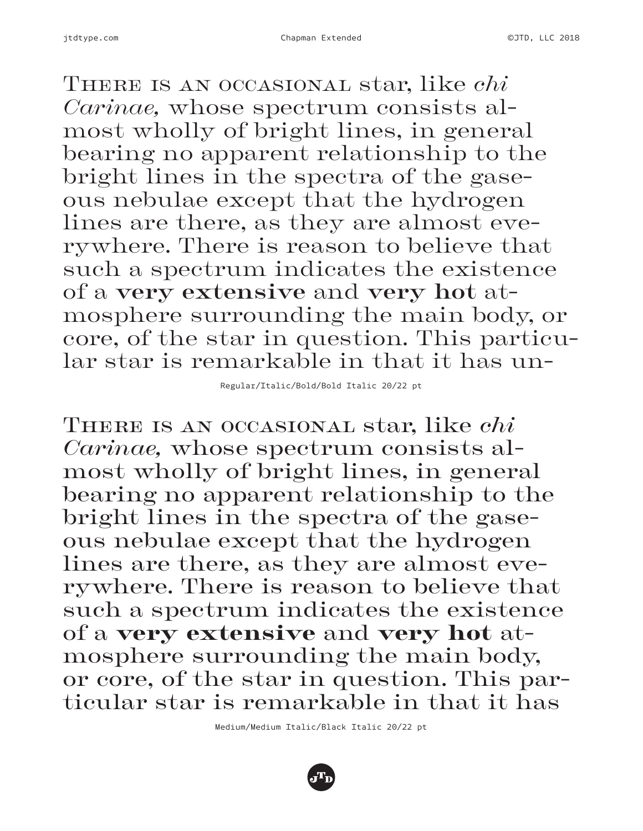There is an occasional star, like *chi Carinae,* whose spectrum consists almost wholly of bright lines, in general bearing no apparent relationship to the bright lines in the spectra of the gaseous nebulae except that the hydrogen lines are there, as they are almost everywhere. There is reason to believe that such a spectrum indicates the existence of a **very extensive** and **very hot** atmosphere surrounding the main body, or core, of the star in question. This particular star is remarkable in that it has un-

Regular/Italic/Bold/Bold Italic 20/22 pt

There is an occasional star, like *chi Carinae,* whose spectrum consists almost wholly of bright lines, in general bearing no apparent relationship to the bright lines in the spectra of the gaseous nebulae except that the hydrogen lines are there, as they are almost everywhere. There is reason to believe that such a spectrum indicates the existence of a very extensive and very hot atmosphere surrounding the main body, or core, of the star in question. This particular star is remarkable in that it has

Medium/Medium Italic/Black Italic 20/22 pt

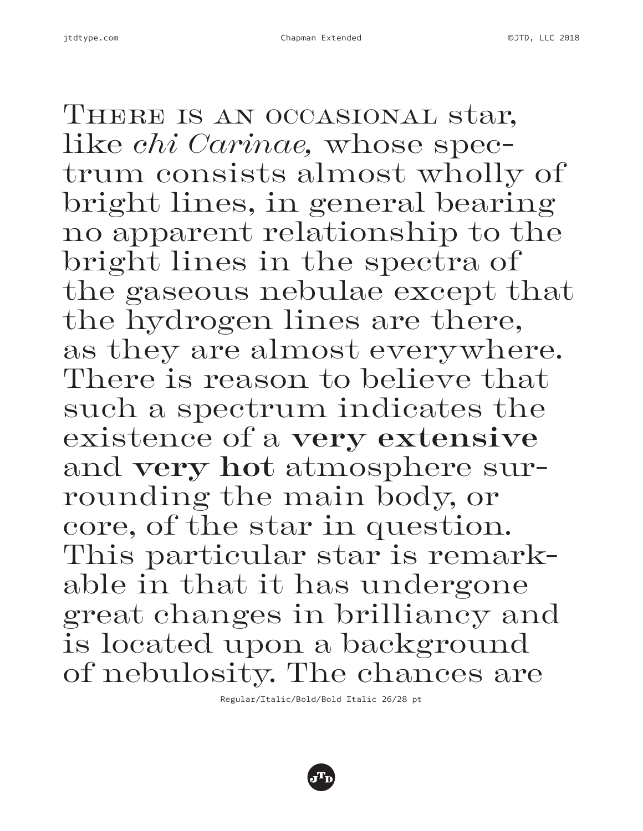THERE IS AN OCCASIONAL star, like *chi Carinae,* whose spectrum consists almost wholly of bright lines, in general bearing no apparent relationship to the bright lines in the spectra of the gaseous nebulae except that the hydrogen lines are there, as they are almost everywhere. There is reason to believe that such a spectrum indicates the existence of a **very extensive** and **very hot** atmosphere surrounding the main body, or core, of the star in question. This particular star is remarkable in that it has undergone great changes in brilliancy and is located upon a background of nebulosity. The chances are

Regular/Italic/Bold/Bold Italic 26/28 pt